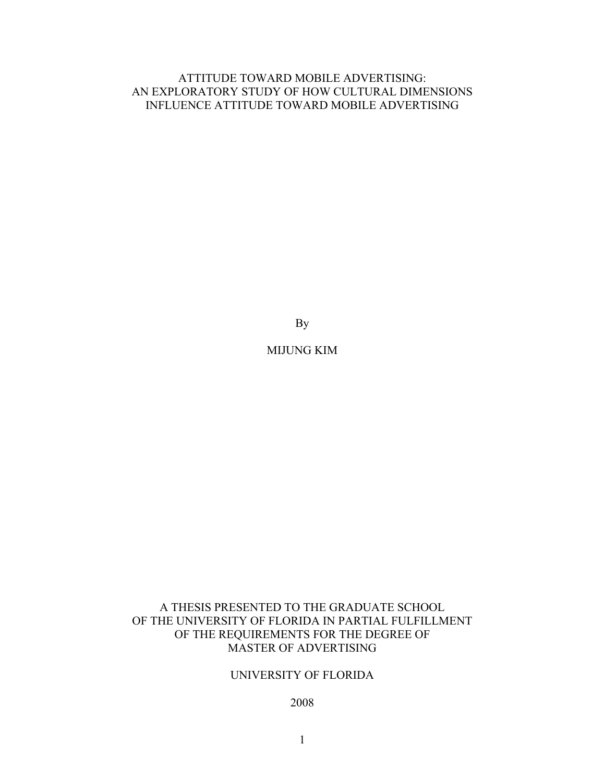# ATTITUDE TOWARD MOBILE ADVERTISING: AN EXPLORATORY STUDY OF HOW CULTURAL DIMENSIONS INFLUENCE ATTITUDE TOWARD MOBILE ADVERTISING

By

# MIJUNG KIM

# A THESIS PRESENTED TO THE GRADUATE SCHOOL OF THE UNIVERSITY OF FLORIDA IN PARTIAL FULFILLMENT OF THE REQUIREMENTS FOR THE DEGREE OF MASTER OF ADVERTISING

# UNIVERSITY OF FLORIDA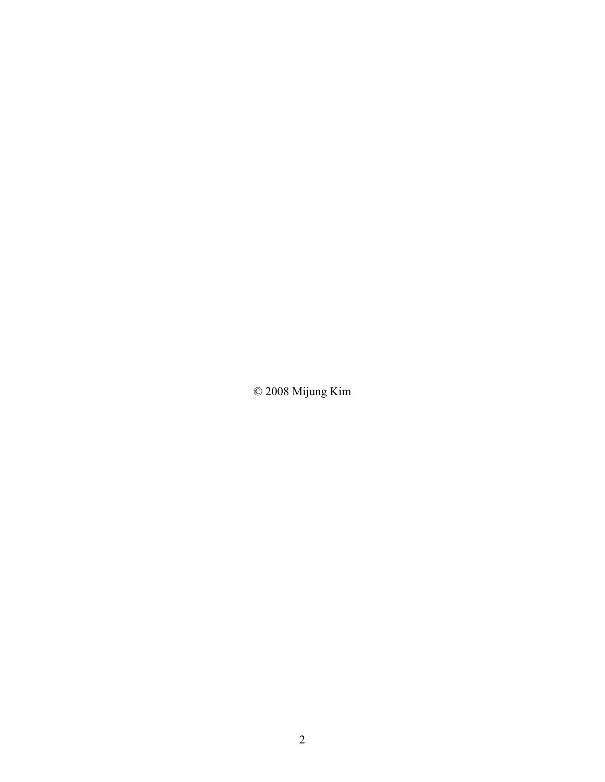© 2008 Mijung Kim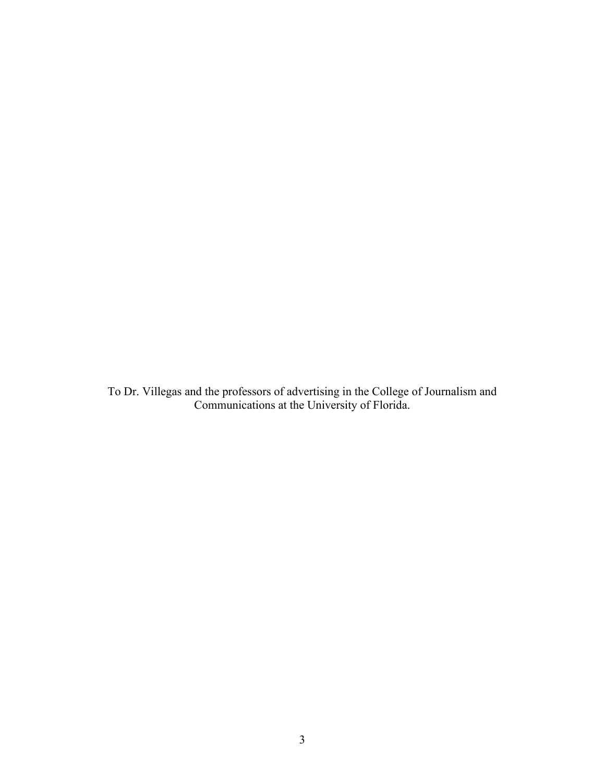To Dr. Villegas and the professors of advertising in the College of Journalism and Communications at the University of Florida.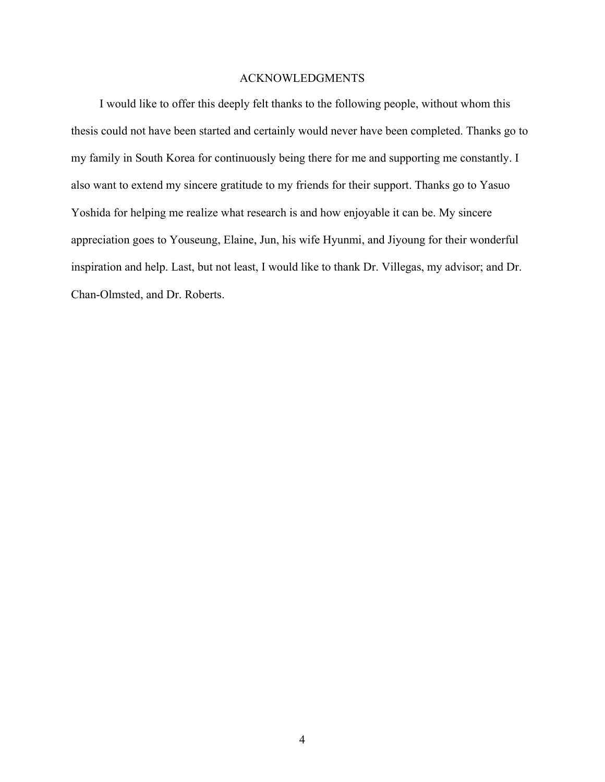# ACKNOWLEDGMENTS

<span id="page-3-1"></span><span id="page-3-0"></span>I would like to offer this deeply felt thanks to the following people, without whom this thesis could not have been started and certainly would never have been completed. Thanks go to my family in South Korea for continuously being there for me and supporting me constantly. I also want to extend my sincere gratitude to my friends for their support. Thanks go to Yasuo Yoshida for helping me realize what research is and how enjoyable it can be. My sincere appreciation goes to Youseung, Elaine, Jun, his wife Hyunmi, and Jiyoung for their wonderful inspiration and help. Last, but not least, I would like to thank Dr. Villegas, my advisor; and Dr. Chan-Olmsted, and Dr. Roberts.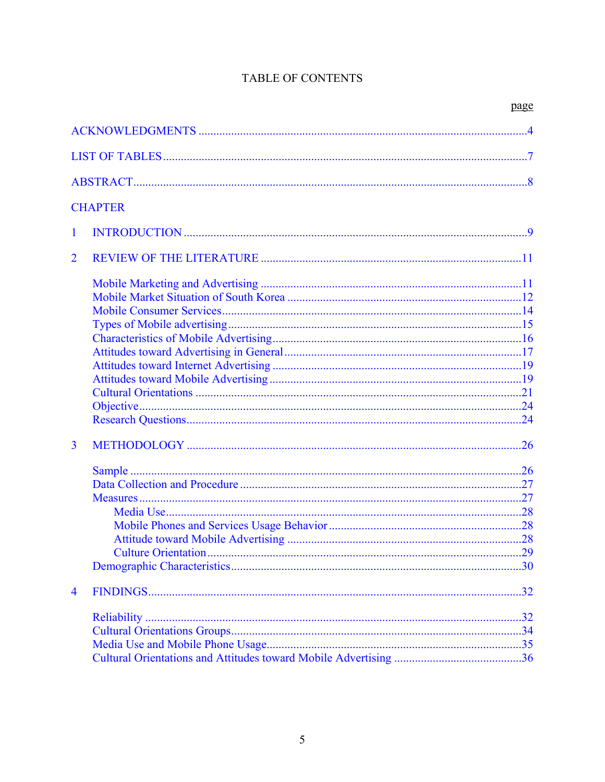# TABLE OF CONTENTS

|                |                | page |
|----------------|----------------|------|
|                |                |      |
|                |                |      |
|                |                |      |
|                |                |      |
|                | <b>CHAPTER</b> |      |
| 1              |                |      |
| $\overline{2}$ |                |      |
|                |                |      |
|                |                |      |
|                |                |      |
|                |                |      |
|                |                |      |
|                |                |      |
|                |                |      |
|                |                |      |
|                |                |      |
|                |                |      |
|                |                |      |
| $\overline{3}$ |                |      |
|                |                |      |
|                |                |      |
|                |                |      |
|                |                |      |
|                |                |      |
|                |                | .28  |
|                |                |      |
|                |                |      |
| 4              |                |      |
|                |                |      |
|                |                |      |
|                |                |      |
|                |                |      |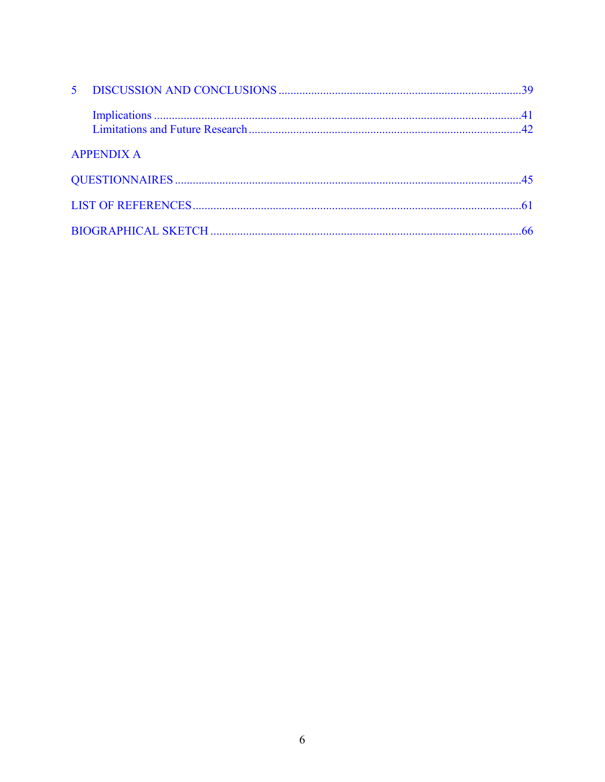| 5 <sup>1</sup> |                   |    |
|----------------|-------------------|----|
|                |                   |    |
|                | <b>APPENDIX A</b> |    |
|                |                   |    |
|                |                   |    |
|                |                   | 66 |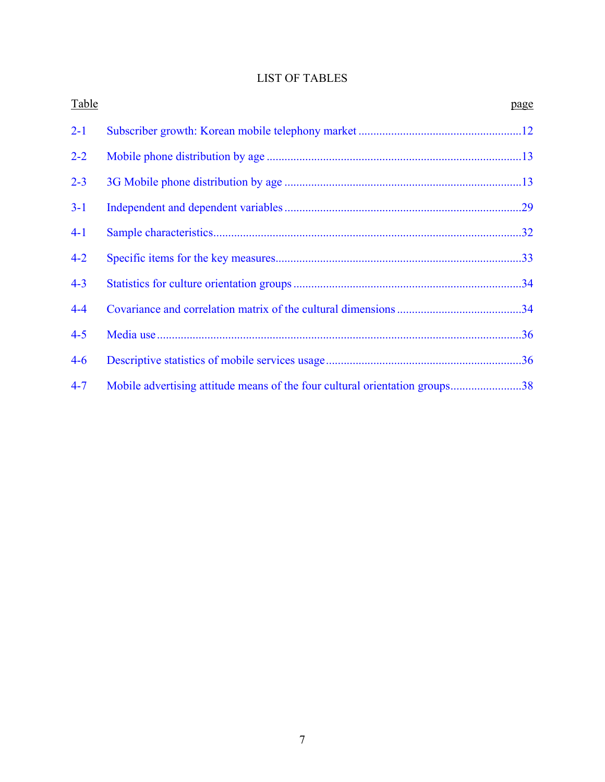# LIST OF TABLES

<span id="page-6-1"></span><span id="page-6-0"></span>

| Table   |                                                                             | page |
|---------|-----------------------------------------------------------------------------|------|
| $2 - 1$ |                                                                             |      |
| $2 - 2$ |                                                                             |      |
| $2 - 3$ |                                                                             |      |
| $3-1$   |                                                                             |      |
| $4-1$   |                                                                             |      |
| $4 - 2$ |                                                                             |      |
| $4 - 3$ |                                                                             |      |
| $4 - 4$ |                                                                             |      |
| $4 - 5$ |                                                                             |      |
| $4 - 6$ |                                                                             |      |
| $4 - 7$ | Mobile advertising attitude means of the four cultural orientation groups38 |      |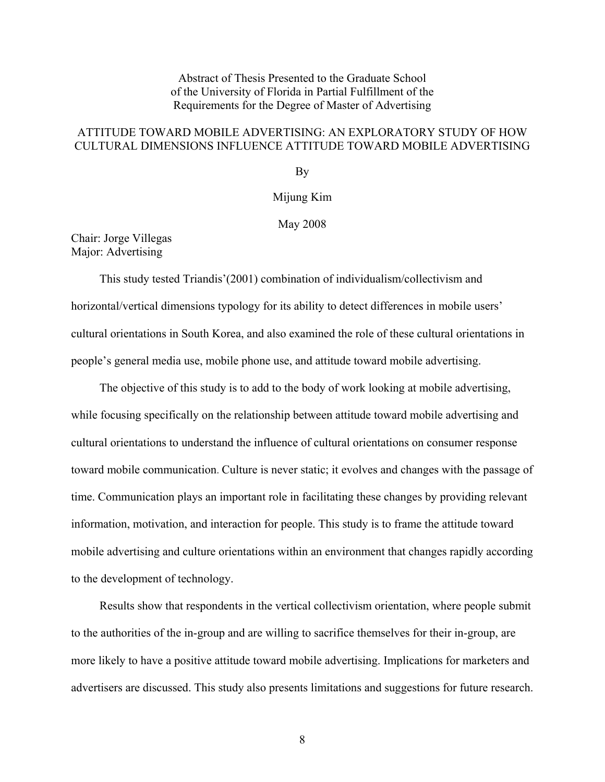Abstract of Thesis Presented to the Graduate School of the University of Florida in Partial Fulfillment of the Requirements for the Degree of Master of Advertising

# <span id="page-7-1"></span><span id="page-7-0"></span>ATTITUDE TOWARD MOBILE ADVERTISING: AN EXPLORATORY STUDY OF HOW CULTURAL DIMENSIONS INFLUENCE ATTITUDE TOWARD MOBILE ADVERTISING

By

Mijung Kim

May 2008

## Chair: Jorge Villegas Major: Advertising

This study tested Triandis'(2001) combination of individualism/collectivism and horizontal/vertical dimensions typology for its ability to detect differences in mobile users' cultural orientations in South Korea, and also examined the role of these cultural orientations in people's general media use, mobile phone use, and attitude toward mobile advertising.

The objective of this study is to add to the body of work looking at mobile advertising, while focusing specifically on the relationship between attitude toward mobile advertising and cultural orientations to understand the influence of cultural orientations on consumer response toward mobile communication. Culture is never static; it evolves and changes with the passage of time. Communication plays an important role in facilitating these changes by providing relevant information, motivation, and interaction for people. This study is to frame the attitude toward mobile advertising and culture orientations within an environment that changes rapidly according to the development of technology.

Results show that respondents in the vertical collectivism orientation, where people submit to the authorities of the in-group and are willing to sacrifice themselves for their in-group, are more likely to have a positive attitude toward mobile advertising. Implications for marketers and advertisers are discussed. This study also presents limitations and suggestions for future research.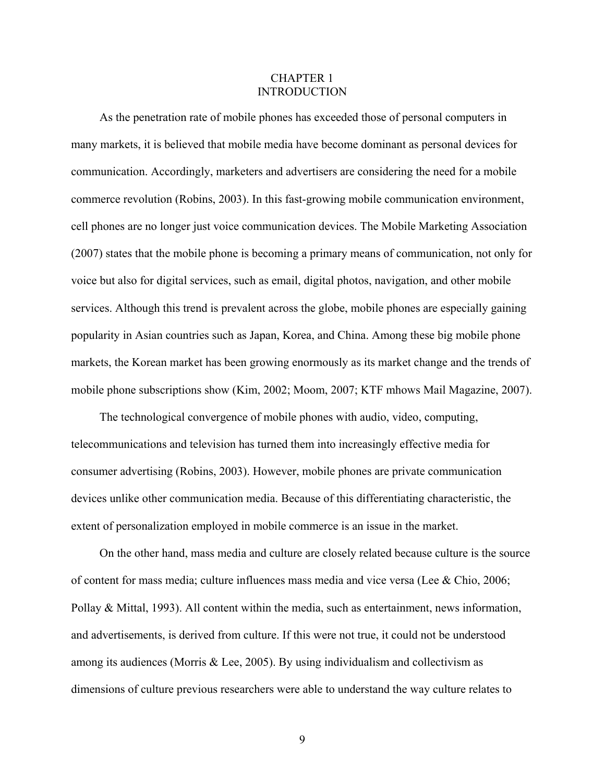## CHAPTER 1 INTRODUCTION

<span id="page-8-1"></span><span id="page-8-0"></span>As the penetration rate of mobile phones has exceeded those of personal computers in many markets, it is believed that mobile media have become dominant as personal devices for communication. Accordingly, marketers and advertisers are considering the need for a mobile commerce revolution (Robins, 2003). In this fast-growing mobile communication environment, cell phones are no longer just voice communication devices. The Mobile Marketing Association (2007) states that the mobile phone is becoming a primary means of communication, not only for voice but also for digital services, such as email, digital photos, navigation, and other mobile services. Although this trend is prevalent across the globe, mobile phones are especially gaining popularity in Asian countries such as Japan, Korea, and China. Among these big mobile phone markets, the Korean market has been growing enormously as its market change and the trends of mobile phone subscriptions show (Kim, 2002; Moom, 2007; KTF mhows Mail Magazine, 2007).

The technological convergence of mobile phones with audio, video, computing, telecommunications and television has turned them into increasingly effective media for consumer advertising (Robins, 2003). However, mobile phones are private communication devices unlike other communication media. Because of this differentiating characteristic, the extent of personalization employed in mobile commerce is an issue in the market.

On the other hand, mass media and culture are closely related because culture is the source of content for mass media; culture influences mass media and vice versa (Lee & Chio, 2006; Pollay & Mittal, 1993). All content within the media, such as entertainment, news information, and advertisements, is derived from culture. If this were not true, it could not be understood among its audiences (Morris & Lee, 2005). By using individualism and collectivism as dimensions of culture previous researchers were able to understand the way culture relates to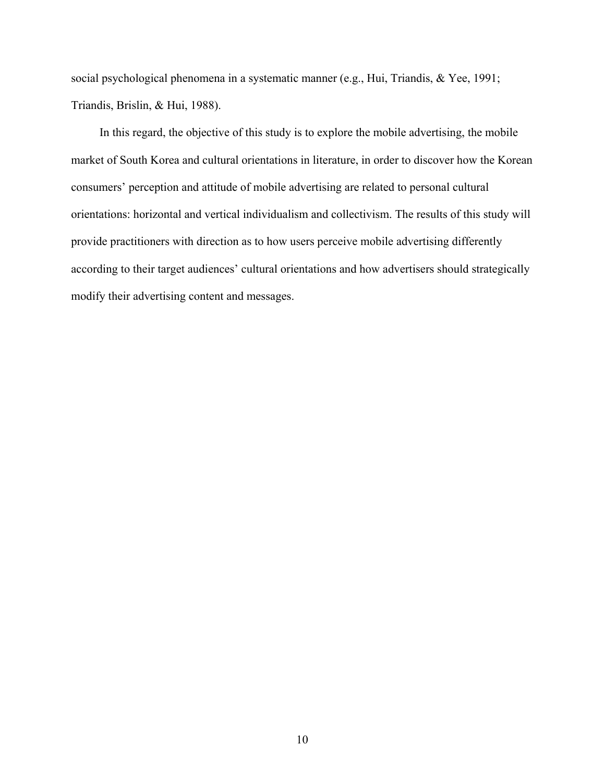social psychological phenomena in a systematic manner (e.g., Hui, Triandis, & Yee, 1991; Triandis, Brislin, & Hui, 1988).

In this regard, the objective of this study is to explore the mobile advertising, the mobile market of South Korea and cultural orientations in literature, in order to discover how the Korean consumers' perception and attitude of mobile advertising are related to personal cultural orientations: horizontal and vertical individualism and collectivism. The results of this study will provide practitioners with direction as to how users perceive mobile advertising differently according to their target audiences' cultural orientations and how advertisers should strategically modify their advertising content and messages.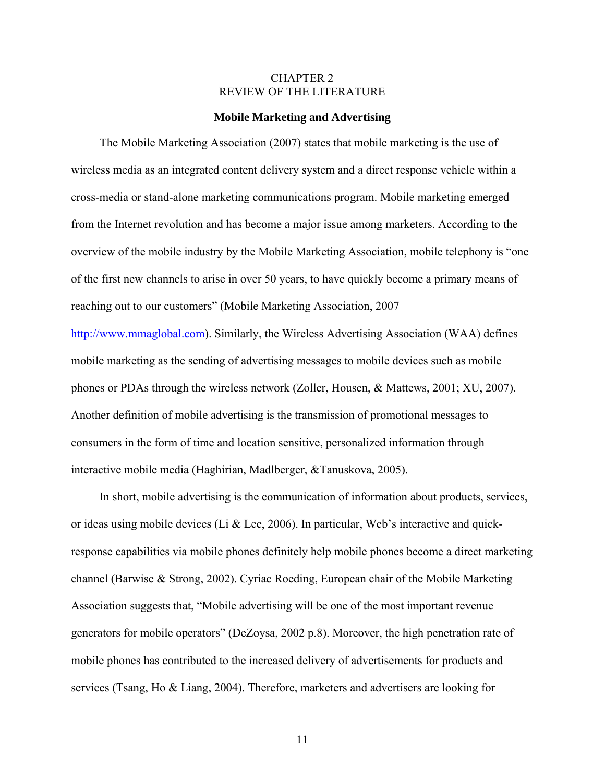## CHAPTER 2 REVIEW OF THE LITERATURE

#### **Mobile Marketing and Advertising**

<span id="page-10-2"></span><span id="page-10-1"></span><span id="page-10-0"></span>The Mobile Marketing Association (2007) states that mobile marketing is the use of wireless media as an integrated content delivery system and a direct response vehicle within a cross-media or stand-alone marketing communications program. Mobile marketing emerged from the Internet revolution and has become a major issue among marketers. According to the overview of the mobile industry by the Mobile Marketing Association, mobile telephony is "one of the first new channels to arise in over 50 years, to have quickly become a primary means of reaching out to our customers" (Mobile Marketing Association, 2007

[http://www.mmaglobal.com](http://www.mmaglobal.com/)). Similarly, the Wireless Advertising Association (WAA) defines mobile marketing as the sending of advertising messages to mobile devices such as mobile phones or PDAs through the wireless network (Zoller, Housen, & Mattews, 2001; XU, 2007). Another definition of mobile advertising is the transmission of promotional messages to consumers in the form of time and location sensitive, personalized information through interactive mobile media (Haghirian, Madlberger, &Tanuskova, 2005).

In short, mobile advertising is the communication of information about products, services, or ideas using mobile devices (Li & Lee, 2006). In particular, Web's interactive and quickresponse capabilities via mobile phones definitely help mobile phones become a direct marketing channel (Barwise & Strong, 2002). Cyriac Roeding, European chair of the Mobile Marketing Association suggests that, "Mobile advertising will be one of the most important revenue generators for mobile operators" (DeZoysa, 2002 p.8). Moreover, the high penetration rate of mobile phones has contributed to the increased delivery of advertisements for products and services (Tsang, Ho & Liang, 2004). Therefore, marketers and advertisers are looking for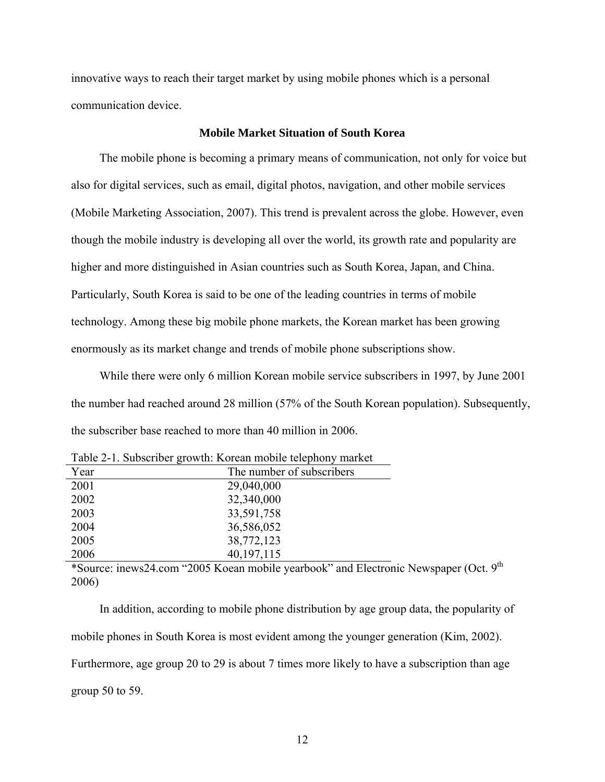<span id="page-11-0"></span>innovative ways to reach their target market by using mobile phones which is a personal communication device.

## **Mobile Market Situation of South Korea**

<span id="page-11-1"></span>The mobile phone is becoming a primary means of communication, not only for voice but also for digital services, such as email, digital photos, navigation, and other mobile services (Mobile Marketing Association, 2007). This trend is prevalent across the globe. However, even though the mobile industry is developing all over the world, its growth rate and popularity are higher and more distinguished in Asian countries such as South Korea, Japan, and China. Particularly, South Korea is said to be one of the leading countries in terms of mobile technology. Among these big mobile phone markets, the Korean market has been growing enormously as its market change and trends of mobile phone subscriptions show.

While there were only 6 million Korean mobile service subscribers in 1997, by June 2001 the number had reached around 28 million (57% of the South Korean population). Subsequently, the subscriber base reached to more than 40 million in 2006.

<span id="page-11-2"></span>

| Year | The number of subscribers |
|------|---------------------------|
| 2001 | 29,040,000                |
| 2002 | 32,340,000                |
| 2003 | 33,591,758                |
| 2004 | 36,586,052                |
| 2005 | 38,772,123                |
| 2006 | 40, 197, 115              |
|      |                           |

Table 2-1. Subscriber growth: Korean mobile telephony market

\*Source: inews24.com "2005 Koean mobile yearbook" and Electronic Newspaper (Oct. 9th 2006)

In addition, according to mobile phone distribution by age group data, the popularity of mobile phones in South Korea is most evident among the younger generation (Kim, 2002). Furthermore, age group 20 to 29 is about 7 times more likely to have a subscription than age group 50 to 59.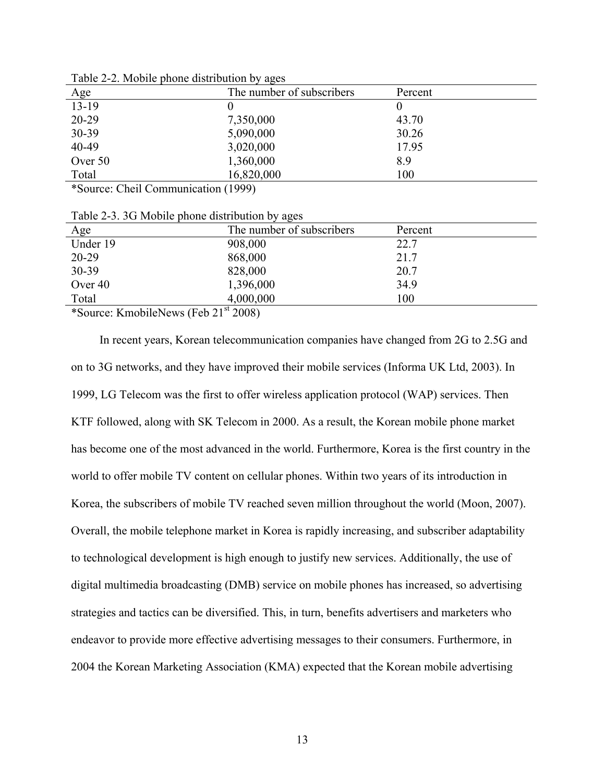<span id="page-12-1"></span>

|         | ັ                         |         |
|---------|---------------------------|---------|
| Age     | The number of subscribers | Percent |
| $13-19$ |                           |         |
| 20-29   | 7,350,000                 | 43.70   |
| 30-39   | 5,090,000                 | 30.26   |
| 40-49   | 3,020,000                 | 17.95   |
| Over 50 | 1,360,000                 | 8.9     |
| Total   | 16,820,000                | 100     |
|         |                           |         |

<span id="page-12-0"></span>Table 2-2. Mobile phone distribution by ages

\*Source: Cheil Communication (1999)

Table 2-3. 3G Mobile phone distribution by ages

<span id="page-12-2"></span>

| The number of subscribers | Percent |
|---------------------------|---------|
| 908,000                   | 22.7    |
| 868,000                   | 21.7    |
| 828,000                   | 20.7    |
| 1,396,000                 | 34.9    |
| 4,000,000                 | 100     |
|                           |         |

\*Source: KmobileNews (Feb  $21<sup>st</sup> 2008$ )

In recent years, Korean telecommunication companies have changed from 2G to 2.5G and on to 3G networks, and they have improved their mobile services (Informa UK Ltd, 2003). In 1999, LG Telecom was the first to offer wireless application protocol (WAP) services. Then KTF followed, along with SK Telecom in 2000. As a result, the Korean mobile phone market has become one of the most advanced in the world. Furthermore, Korea is the first country in the world to offer mobile TV content on cellular phones. Within two years of its introduction in Korea, the subscribers of mobile TV reached seven million throughout the world (Moon, 2007). Overall, the mobile telephone market in Korea is rapidly increasing, and subscriber adaptability to technological development is high enough to justify new services. Additionally, the use of digital multimedia broadcasting (DMB) service on mobile phones has increased, so advertising strategies and tactics can be diversified. This, in turn, benefits advertisers and marketers who endeavor to provide more effective advertising messages to their consumers. Furthermore, in 2004 the Korean Marketing Association (KMA) expected that the Korean mobile advertising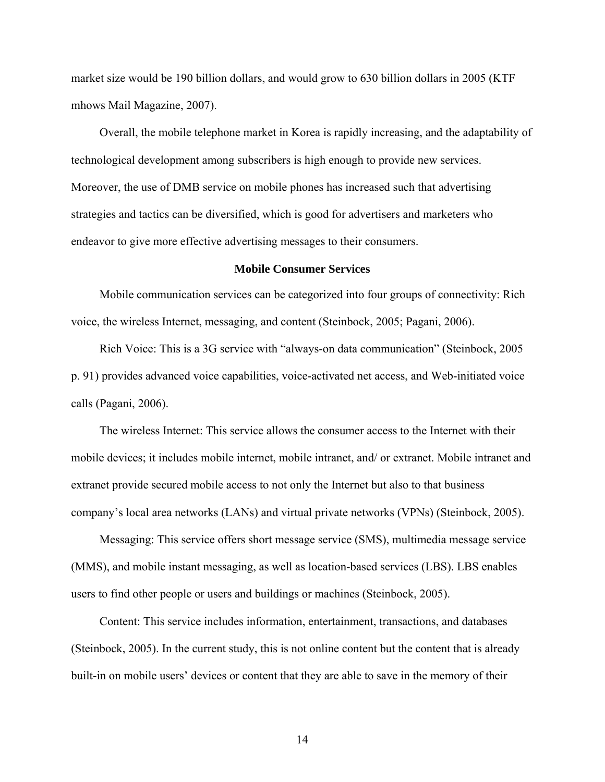<span id="page-13-0"></span>market size would be 190 billion dollars, and would grow to 630 billion dollars in 2005 (KTF mhows Mail Magazine, 2007).

Overall, the mobile telephone market in Korea is rapidly increasing, and the adaptability of technological development among subscribers is high enough to provide new services. Moreover, the use of DMB service on mobile phones has increased such that advertising strategies and tactics can be diversified, which is good for advertisers and marketers who endeavor to give more effective advertising messages to their consumers.

#### **Mobile Consumer Services**

<span id="page-13-1"></span>Mobile communication services can be categorized into four groups of connectivity: Rich voice, the wireless Internet, messaging, and content (Steinbock, 2005; Pagani, 2006).

Rich Voice: This is a 3G service with "always-on data communication" (Steinbock, 2005 p. 91) provides advanced voice capabilities, voice-activated net access, and Web-initiated voice calls (Pagani, 2006).

The wireless Internet: This service allows the consumer access to the Internet with their mobile devices; it includes mobile internet, mobile intranet, and/ or extranet. Mobile intranet and extranet provide secured mobile access to not only the Internet but also to that business company's local area networks (LANs) and virtual private networks (VPNs) (Steinbock, 2005).

Messaging: This service offers short message service (SMS), multimedia message service (MMS), and mobile instant messaging, as well as location-based services (LBS). LBS enables users to find other people or users and buildings or machines (Steinbock, 2005).

Content: This service includes information, entertainment, transactions, and databases (Steinbock, 2005). In the current study, this is not online content but the content that is already built-in on mobile users' devices or content that they are able to save in the memory of their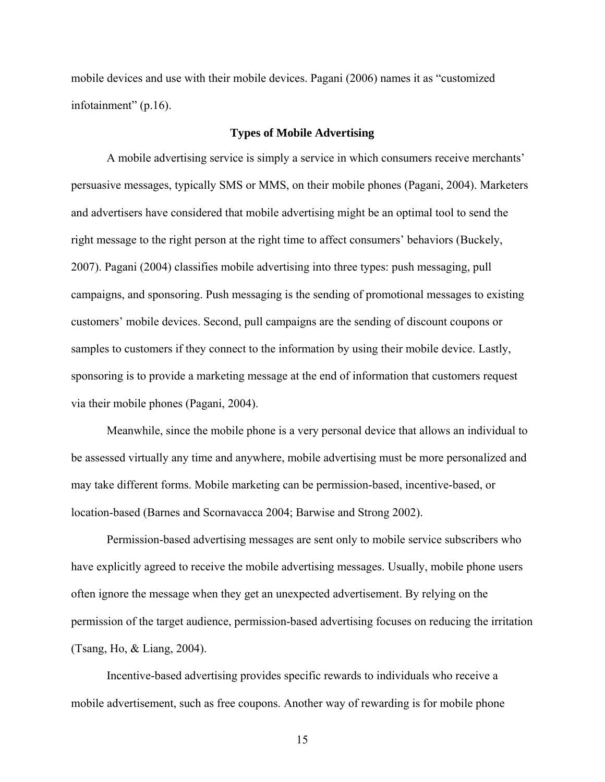<span id="page-14-0"></span>mobile devices and use with their mobile devices. Pagani (2006) names it as "customized infotainment" (p.16).

## **Types of Mobile Advertising**

<span id="page-14-1"></span>A mobile advertising service is simply a service in which consumers receive merchants' persuasive messages, typically SMS or MMS, on their mobile phones (Pagani, 2004). Marketers and advertisers have considered that mobile advertising might be an optimal tool to send the right message to the right person at the right time to affect consumers' behaviors (Buckely, 2007). Pagani (2004) classifies mobile advertising into three types: push messaging, pull campaigns, and sponsoring. Push messaging is the sending of promotional messages to existing customers' mobile devices. Second, pull campaigns are the sending of discount coupons or samples to customers if they connect to the information by using their mobile device. Lastly, sponsoring is to provide a marketing message at the end of information that customers request via their mobile phones (Pagani, 2004).

Meanwhile, since the mobile phone is a very personal device that allows an individual to be assessed virtually any time and anywhere, mobile advertising must be more personalized and may take different forms. Mobile marketing can be permission-based, incentive-based, or location-based (Barnes and Scornavacca 2004; Barwise and Strong 2002).

Permission-based advertising messages are sent only to mobile service subscribers who have explicitly agreed to receive the mobile advertising messages. Usually, mobile phone users often ignore the message when they get an unexpected advertisement. By relying on the permission of the target audience, permission-based advertising focuses on reducing the irritation (Tsang, Ho, & Liang, 2004).

Incentive-based advertising provides specific rewards to individuals who receive a mobile advertisement, such as free coupons. Another way of rewarding is for mobile phone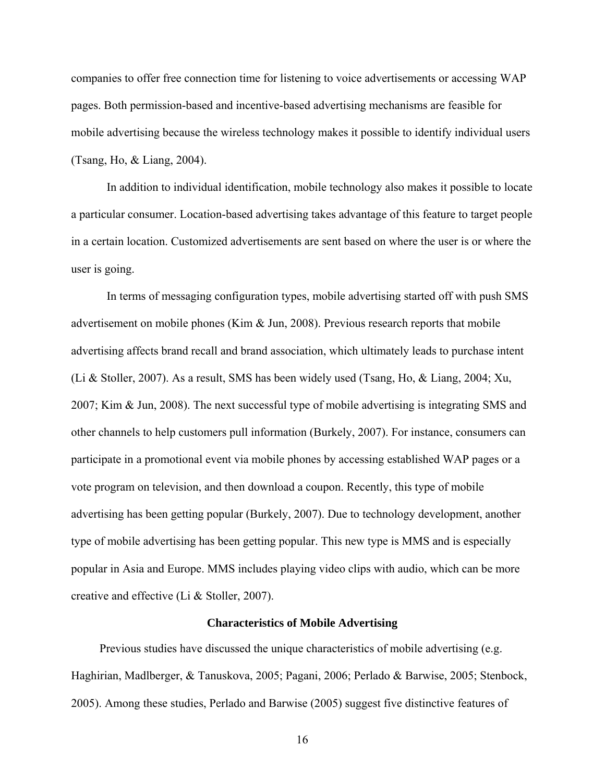<span id="page-15-0"></span>companies to offer free connection time for listening to voice advertisements or accessing WAP pages. Both permission-based and incentive-based advertising mechanisms are feasible for mobile advertising because the wireless technology makes it possible to identify individual users (Tsang, Ho, & Liang, 2004).

In addition to individual identification, mobile technology also makes it possible to locate a particular consumer. Location-based advertising takes advantage of this feature to target people in a certain location. Customized advertisements are sent based on where the user is or where the user is going.

In terms of messaging configuration types, mobile advertising started off with push SMS advertisement on mobile phones (Kim & Jun, 2008). Previous research reports that mobile advertising affects brand recall and brand association, which ultimately leads to purchase intent (Li & Stoller, 2007). As a result, SMS has been widely used (Tsang, Ho, & Liang, 2004; Xu, 2007; Kim & Jun, 2008). The next successful type of mobile advertising is integrating SMS and other channels to help customers pull information (Burkely, 2007). For instance, consumers can participate in a promotional event via mobile phones by accessing established WAP pages or a vote program on television, and then download a coupon. Recently, this type of mobile advertising has been getting popular (Burkely, 2007). Due to technology development, another type of mobile advertising has been getting popular. This new type is MMS and is especially popular in Asia and Europe. MMS includes playing video clips with audio, which can be more creative and effective (Li & Stoller, 2007).

#### **Characteristics of Mobile Advertising**

<span id="page-15-1"></span>Previous studies have discussed the unique characteristics of mobile advertising (e.g. Haghirian, Madlberger, & Tanuskova, 2005; Pagani, 2006; Perlado & Barwise, 2005; Stenbock, 2005). Among these studies, Perlado and Barwise (2005) suggest five distinctive features of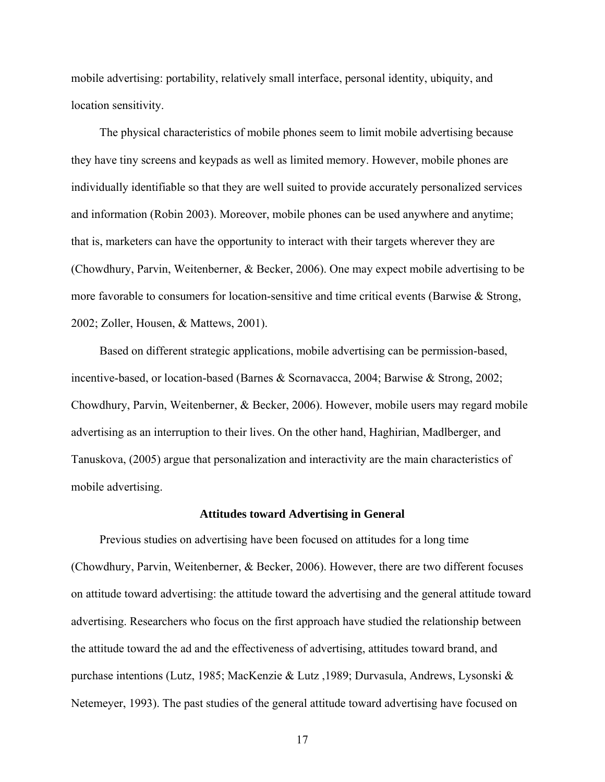<span id="page-16-0"></span>mobile advertising: portability, relatively small interface, personal identity, ubiquity, and location sensitivity.

The physical characteristics of mobile phones seem to limit mobile advertising because they have tiny screens and keypads as well as limited memory. However, mobile phones are individually identifiable so that they are well suited to provide accurately personalized services and information (Robin 2003). Moreover, mobile phones can be used anywhere and anytime; that is, marketers can have the opportunity to interact with their targets wherever they are (Chowdhury, Parvin, Weitenberner, & Becker, 2006). One may expect mobile advertising to be more favorable to consumers for location-sensitive and time critical events (Barwise & Strong, 2002; Zoller, Housen, & Mattews, 2001).

Based on different strategic applications, mobile advertising can be permission-based, incentive-based, or location-based (Barnes & Scornavacca, 2004; Barwise & Strong, 2002; Chowdhury, Parvin, Weitenberner, & Becker, 2006). However, mobile users may regard mobile advertising as an interruption to their lives. On the other hand, Haghirian, Madlberger, and Tanuskova, (2005) argue that personalization and interactivity are the main characteristics of mobile advertising.

#### **Attitudes toward Advertising in General**

<span id="page-16-1"></span>Previous studies on advertising have been focused on attitudes for a long time (Chowdhury, Parvin, Weitenberner, & Becker, 2006). However, there are two different focuses on attitude toward advertising: the attitude toward the advertising and the general attitude toward advertising. Researchers who focus on the first approach have studied the relationship between the attitude toward the ad and the effectiveness of advertising, attitudes toward brand, and purchase intentions (Lutz, 1985; MacKenzie & Lutz ,1989; Durvasula, Andrews, Lysonski & Netemeyer, 1993). The past studies of the general attitude toward advertising have focused on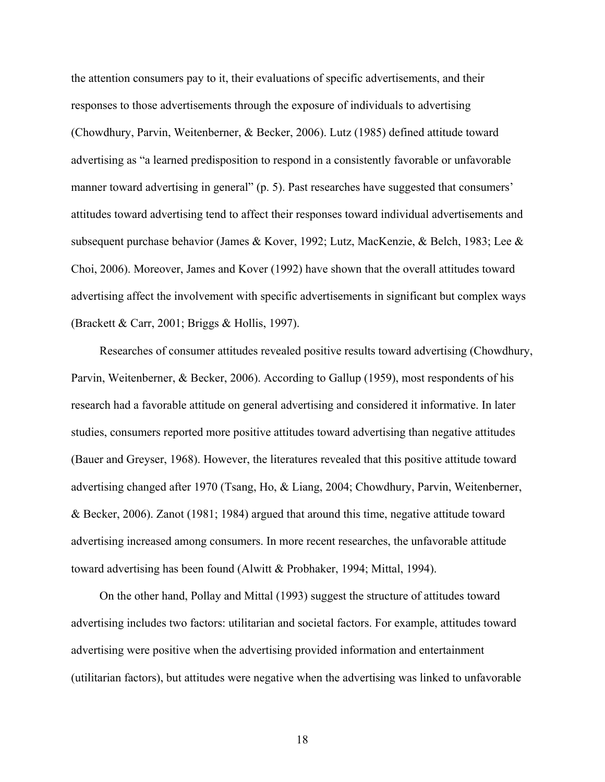the attention consumers pay to it, their evaluations of specific advertisements, and their responses to those advertisements through the exposure of individuals to advertising (Chowdhury, Parvin, Weitenberner, & Becker, 2006). Lutz (1985) defined attitude toward advertising as "a learned predisposition to respond in a consistently favorable or unfavorable manner toward advertising in general" (p. 5). Past researches have suggested that consumers' attitudes toward advertising tend to affect their responses toward individual advertisements and subsequent purchase behavior (James & Kover, 1992; Lutz, MacKenzie, & Belch, 1983; Lee & Choi, 2006). Moreover, James and Kover (1992) have shown that the overall attitudes toward advertising affect the involvement with specific advertisements in significant but complex ways (Brackett & Carr, 2001; Briggs & Hollis, 1997).

Researches of consumer attitudes revealed positive results toward advertising (Chowdhury, Parvin, Weitenberner, & Becker, 2006). According to Gallup (1959), most respondents of his research had a favorable attitude on general advertising and considered it informative. In later studies, consumers reported more positive attitudes toward advertising than negative attitudes (Bauer and Greyser, 1968). However, the literatures revealed that this positive attitude toward advertising changed after 1970 (Tsang, Ho, & Liang, 2004; Chowdhury, Parvin, Weitenberner, & Becker, 2006). Zanot (1981; 1984) argued that around this time, negative attitude toward advertising increased among consumers. In more recent researches, the unfavorable attitude toward advertising has been found (Alwitt & Probhaker, 1994; Mittal, 1994).

On the other hand, Pollay and Mittal (1993) suggest the structure of attitudes toward advertising includes two factors: utilitarian and societal factors. For example, attitudes toward advertising were positive when the advertising provided information and entertainment (utilitarian factors), but attitudes were negative when the advertising was linked to unfavorable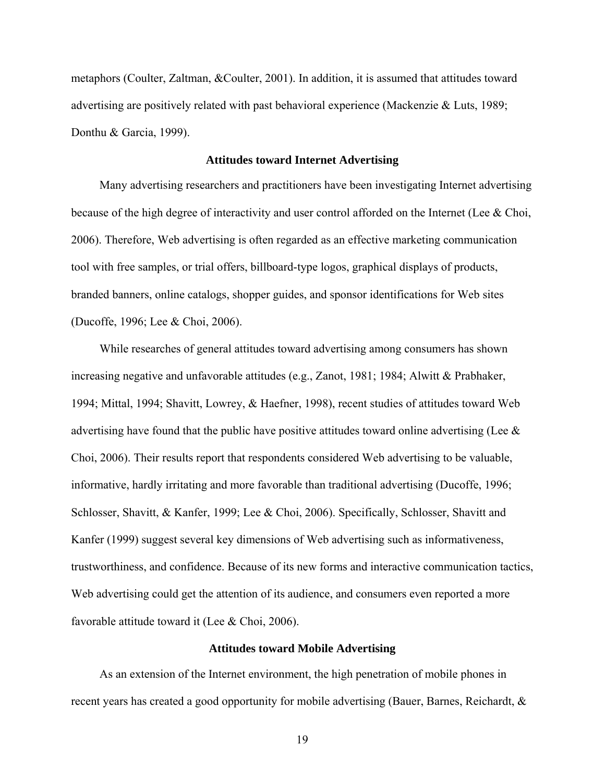<span id="page-18-0"></span>metaphors (Coulter, Zaltman, &Coulter, 2001). In addition, it is assumed that attitudes toward advertising are positively related with past behavioral experience (Mackenzie & Luts, 1989; Donthu & Garcia, 1999).

#### **Attitudes toward Internet Advertising**

<span id="page-18-1"></span>Many advertising researchers and practitioners have been investigating Internet advertising because of the high degree of interactivity and user control afforded on the Internet (Lee & Choi, 2006). Therefore, Web advertising is often regarded as an effective marketing communication tool with free samples, or trial offers, billboard-type logos, graphical displays of products, branded banners, online catalogs, shopper guides, and sponsor identifications for Web sites (Ducoffe, 1996; Lee & Choi, 2006).

While researches of general attitudes toward advertising among consumers has shown increasing negative and unfavorable attitudes (e.g., Zanot, 1981; 1984; Alwitt & Prabhaker, 1994; Mittal, 1994; Shavitt, Lowrey, & Haefner, 1998), recent studies of attitudes toward Web advertising have found that the public have positive attitudes toward online advertising (Lee & Choi, 2006). Their results report that respondents considered Web advertising to be valuable, informative, hardly irritating and more favorable than traditional advertising (Ducoffe, 1996; Schlosser, Shavitt, & Kanfer, 1999; Lee & Choi, 2006). Specifically, Schlosser, Shavitt and Kanfer (1999) suggest several key dimensions of Web advertising such as informativeness, trustworthiness, and confidence. Because of its new forms and interactive communication tactics, Web advertising could get the attention of its audience, and consumers even reported a more favorable attitude toward it (Lee & Choi, 2006).

### **Attitudes toward Mobile Advertising**

<span id="page-18-2"></span>As an extension of the Internet environment, the high penetration of mobile phones in recent years has created a good opportunity for mobile advertising (Bauer, Barnes, Reichardt, &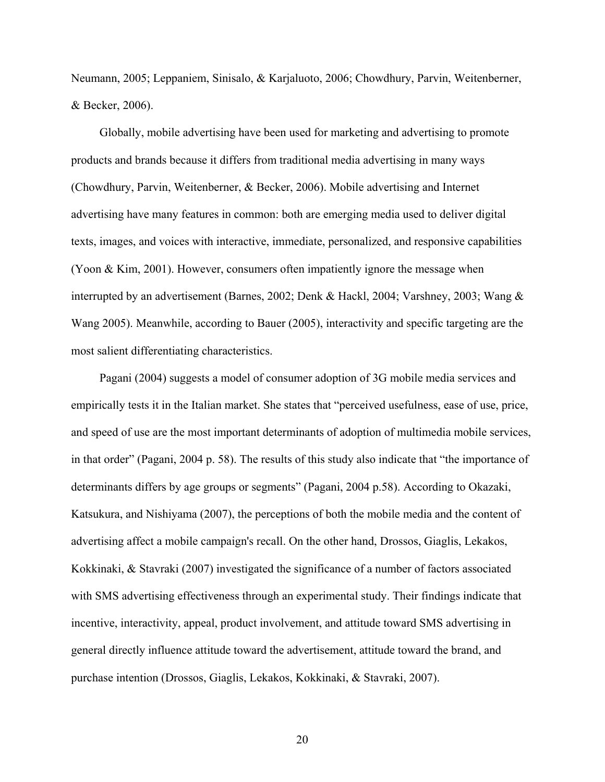Neumann, 2005; Leppaniem, Sinisalo, & Karjaluoto, 2006; Chowdhury, Parvin, Weitenberner, & Becker, 2006).

Globally, mobile advertising have been used for marketing and advertising to promote products and brands because it differs from traditional media advertising in many ways (Chowdhury, Parvin, Weitenberner, & Becker, 2006). Mobile advertising and Internet advertising have many features in common: both are emerging media used to deliver digital texts, images, and voices with interactive, immediate, personalized, and responsive capabilities (Yoon & Kim, 2001). However, consumers often impatiently ignore the message when interrupted by an advertisement (Barnes, 2002; Denk & Hackl, 2004; Varshney, 2003; Wang & Wang 2005). Meanwhile, according to Bauer (2005), interactivity and specific targeting are the most salient differentiating characteristics.

Pagani (2004) suggests a model of consumer adoption of 3G mobile media services and empirically tests it in the Italian market. She states that "perceived usefulness, ease of use, price, and speed of use are the most important determinants of adoption of multimedia mobile services, in that order" (Pagani, 2004 p. 58). The results of this study also indicate that "the importance of determinants differs by age groups or segments" (Pagani, 2004 p.58). According to Okazaki, Katsukura, and Nishiyama (2007), the perceptions of both the mobile media and the content of advertising affect a mobile campaign's recall. On the other hand, Drossos, Giaglis, Lekakos, Kokkinaki, & Stavraki (2007) investigated the significance of a number of factors associated with SMS advertising effectiveness through an experimental study. Their findings indicate that incentive, interactivity, appeal, product involvement, and attitude toward SMS advertising in general directly influence attitude toward the advertisement, attitude toward the brand, and purchase intention (Drossos, Giaglis, Lekakos, Kokkinaki, & Stavraki, 2007).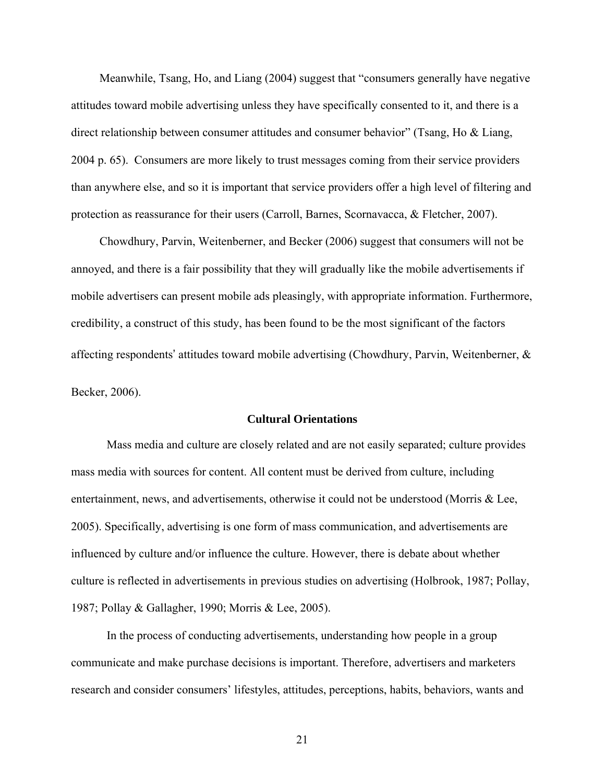<span id="page-20-0"></span>Meanwhile, Tsang, Ho, and Liang (2004) suggest that "consumers generally have negative attitudes toward mobile advertising unless they have specifically consented to it, and there is a direct relationship between consumer attitudes and consumer behavior" (Tsang, Ho & Liang, 2004 p. 65). Consumers are more likely to trust messages coming from their service providers than anywhere else, and so it is important that service providers offer a high level of filtering and protection as reassurance for their users (Carroll, Barnes, Scornavacca, & Fletcher, 2007).

Chowdhury, Parvin, Weitenberner, and Becker (2006) suggest that consumers will not be annoyed, and there is a fair possibility that they will gradually like the mobile advertisements if mobile advertisers can present mobile ads pleasingly, with appropriate information. Furthermore, credibility, a construct of this study, has been found to be the most significant of the factors affecting respondents' attitudes toward mobile advertising (Chowdhury, Parvin, Weitenberner, & Becker, 2006).

## **Cultural Orientations**

<span id="page-20-1"></span>Mass media and culture are closely related and are not easily separated; culture provides mass media with sources for content. All content must be derived from culture, including entertainment, news, and advertisements, otherwise it could not be understood (Morris & Lee, 2005). Specifically, advertising is one form of mass communication, and advertisements are influenced by culture and/or influence the culture. However, there is debate about whether culture is reflected in advertisements in previous studies on advertising (Holbrook, 1987; Pollay, 1987; Pollay & Gallagher, 1990; Morris & Lee, 2005).

In the process of conducting advertisements, understanding how people in a group communicate and make purchase decisions is important. Therefore, advertisers and marketers research and consider consumers' lifestyles, attitudes, perceptions, habits, behaviors, wants and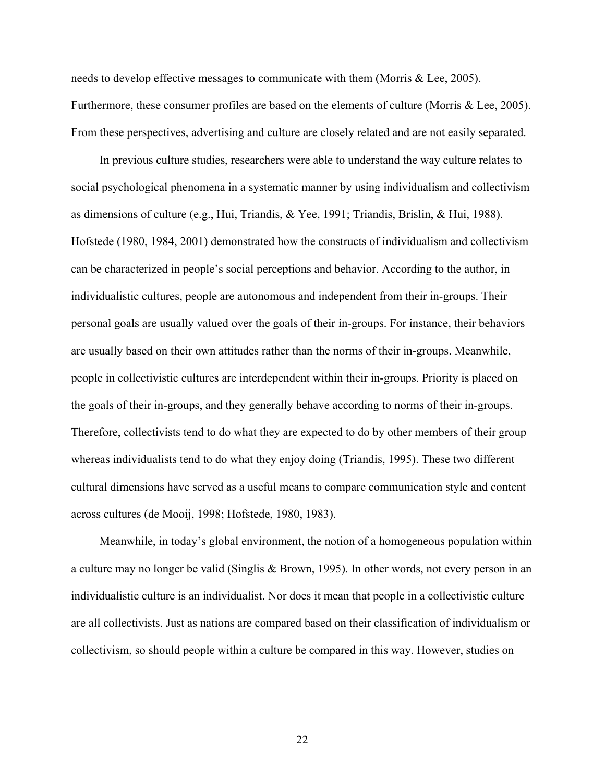needs to develop effective messages to communicate with them (Morris & Lee, 2005). Furthermore, these consumer profiles are based on the elements of culture (Morris & Lee, 2005). From these perspectives, advertising and culture are closely related and are not easily separated.

In previous culture studies, researchers were able to understand the way culture relates to social psychological phenomena in a systematic manner by using individualism and collectivism as dimensions of culture (e.g., Hui, Triandis, & Yee, 1991; Triandis, Brislin, & Hui, 1988). Hofstede (1980, 1984, 2001) demonstrated how the constructs of individualism and collectivism can be characterized in people's social perceptions and behavior. According to the author, in individualistic cultures, people are autonomous and independent from their in-groups. Their personal goals are usually valued over the goals of their in-groups. For instance, their behaviors are usually based on their own attitudes rather than the norms of their in-groups. Meanwhile, people in collectivistic cultures are interdependent within their in-groups. Priority is placed on the goals of their in-groups, and they generally behave according to norms of their in-groups. Therefore, collectivists tend to do what they are expected to do by other members of their group whereas individualists tend to do what they enjoy doing (Triandis, 1995). These two different cultural dimensions have served as a useful means to compare communication style and content across cultures (de Mooij, 1998; Hofstede, 1980, 1983).

Meanwhile, in today's global environment, the notion of a homogeneous population within a culture may no longer be valid (Singlis & Brown, 1995). In other words, not every person in an individualistic culture is an individualist. Nor does it mean that people in a collectivistic culture are all collectivists. Just as nations are compared based on their classification of individualism or collectivism, so should people within a culture be compared in this way. However, studies on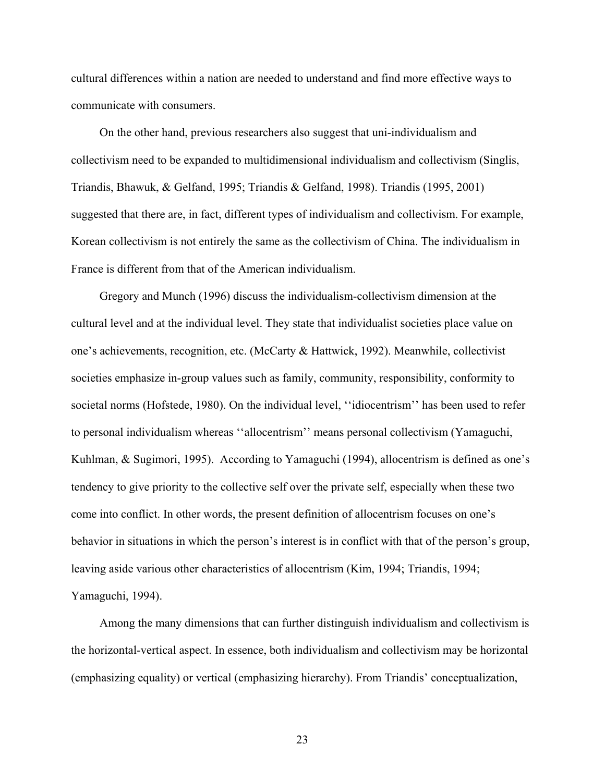cultural differences within a nation are needed to understand and find more effective ways to communicate with consumers.

On the other hand, previous researchers also suggest that uni-individualism and collectivism need to be expanded to multidimensional individualism and collectivism (Singlis, Triandis, Bhawuk, & Gelfand, 1995; Triandis & Gelfand, 1998). Triandis (1995, 2001) suggested that there are, in fact, different types of individualism and collectivism. For example, Korean collectivism is not entirely the same as the collectivism of China. The individualism in France is different from that of the American individualism.

Gregory and Munch (1996) discuss the individualism-collectivism dimension at the cultural level and at the individual level. They state that individualist societies place value on one's achievements, recognition, etc. (McCarty & Hattwick, 1992). Meanwhile, collectivist societies emphasize in-group values such as family, community, responsibility, conformity to societal norms (Hofstede, 1980). On the individual level, ''idiocentrism'' has been used to refer to personal individualism whereas ''allocentrism'' means personal collectivism (Yamaguchi, Kuhlman, & Sugimori, 1995). According to Yamaguchi (1994), allocentrism is defined as one's tendency to give priority to the collective self over the private self, especially when these two come into conflict. In other words, the present definition of allocentrism focuses on one's behavior in situations in which the person's interest is in conflict with that of the person's group, leaving aside various other characteristics of allocentrism (Kim, 1994; Triandis, 1994; Yamaguchi, 1994).

Among the many dimensions that can further distinguish individualism and collectivism is the horizontal-vertical aspect. In essence, both individualism and collectivism may be horizontal (emphasizing equality) or vertical (emphasizing hierarchy). From Triandis' conceptualization,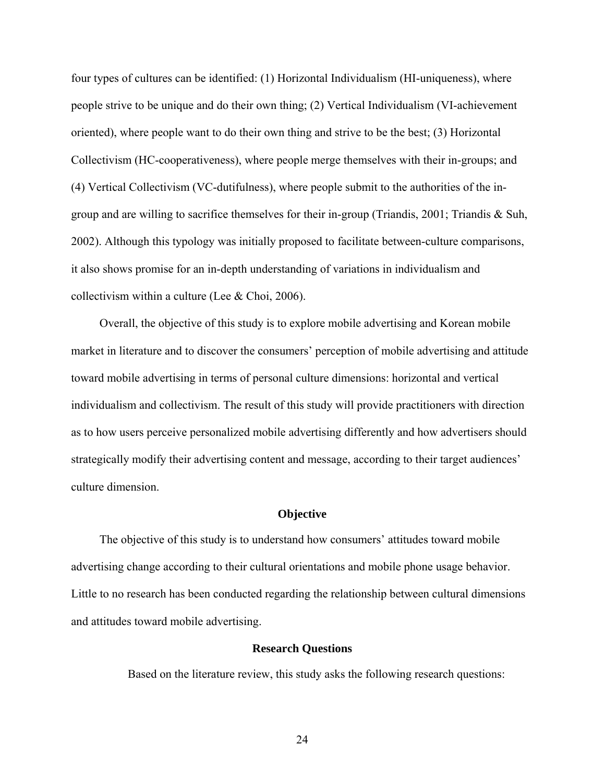<span id="page-23-0"></span>four types of cultures can be identified: (1) Horizontal Individualism (HI-uniqueness), where people strive to be unique and do their own thing; (2) Vertical Individualism (VI-achievement oriented), where people want to do their own thing and strive to be the best; (3) Horizontal Collectivism (HC-cooperativeness), where people merge themselves with their in-groups; and (4) Vertical Collectivism (VC-dutifulness), where people submit to the authorities of the ingroup and are willing to sacrifice themselves for their in-group (Triandis, 2001; Triandis & Suh, 2002). Although this typology was initially proposed to facilitate between-culture comparisons, it also shows promise for an in-depth understanding of variations in individualism and collectivism within a culture (Lee & Choi, 2006).

Overall, the objective of this study is to explore mobile advertising and Korean mobile market in literature and to discover the consumers' perception of mobile advertising and attitude toward mobile advertising in terms of personal culture dimensions: horizontal and vertical individualism and collectivism. The result of this study will provide practitioners with direction as to how users perceive personalized mobile advertising differently and how advertisers should strategically modify their advertising content and message, according to their target audiences' culture dimension.

#### **Objective**

<span id="page-23-2"></span><span id="page-23-1"></span>The objective of this study is to understand how consumers' attitudes toward mobile advertising change according to their cultural orientations and mobile phone usage behavior. Little to no research has been conducted regarding the relationship between cultural dimensions and attitudes toward mobile advertising.

### **Research Questions**

Based on the literature review, this study asks the following research questions: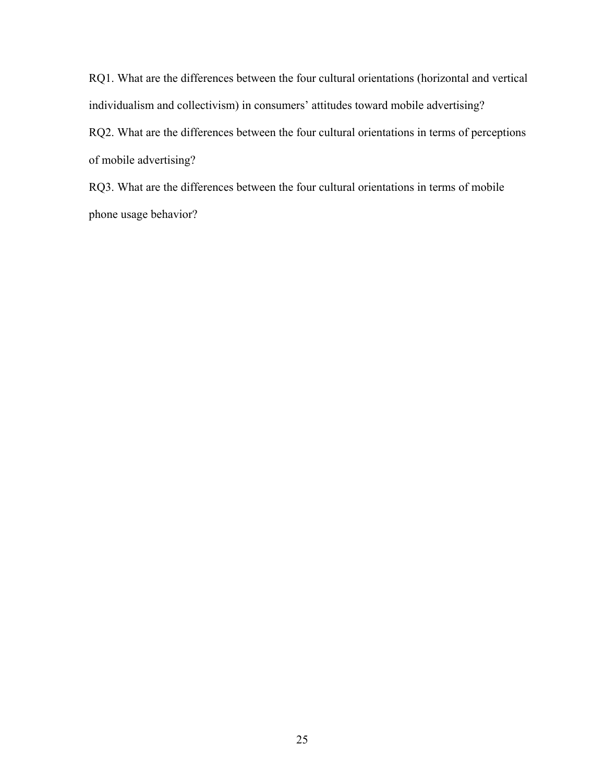RQ1. What are the differences between the four cultural orientations (horizontal and vertical individualism and collectivism) in consumers' attitudes toward mobile advertising? RQ2. What are the differences between the four cultural orientations in terms of perceptions of mobile advertising?

RQ3. What are the differences between the four cultural orientations in terms of mobile phone usage behavior?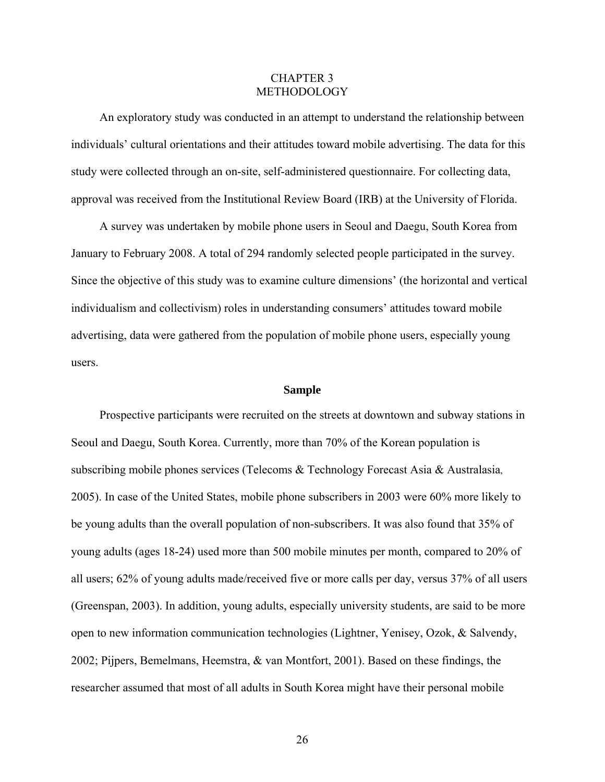## CHAPTER 3 METHODOLOGY

<span id="page-25-1"></span><span id="page-25-0"></span>An exploratory study was conducted in an attempt to understand the relationship between individuals' cultural orientations and their attitudes toward mobile advertising. The data for this study were collected through an on-site, self-administered questionnaire. For collecting data, approval was received from the Institutional Review Board (IRB) at the University of Florida.

A survey was undertaken by mobile phone users in Seoul and Daegu, South Korea from January to February 2008. A total of 294 randomly selected people participated in the survey. Since the objective of this study was to examine culture dimensions' (the horizontal and vertical individualism and collectivism) roles in understanding consumers' attitudes toward mobile advertising, data were gathered from the population of mobile phone users, especially young users.

### **Sample**

<span id="page-25-2"></span>Prospective participants were recruited on the streets at downtown and subway stations in Seoul and Daegu, South Korea. Currently, more than 70% of the Korean population is subscribing mobile phones services (Telecoms & Technology Forecast Asia & Australasia, 2005). In case of the United States, mobile phone subscribers in 2003 were 60% more likely to be young adults than the overall population of non-subscribers. It was also found that 35% of young adults (ages 18-24) used more than 500 mobile minutes per month, compared to 20% of all users; 62% of young adults made/received five or more calls per day, versus 37% of all users (Greenspan, 2003). In addition, young adults, especially university students, are said to be more open to new information communication technologies (Lightner, Yenisey, Ozok, & Salvendy, 2002; Pijpers, Bemelmans, Heemstra, & van Montfort, 2001). Based on these findings, the researcher assumed that most of all adults in South Korea might have their personal mobile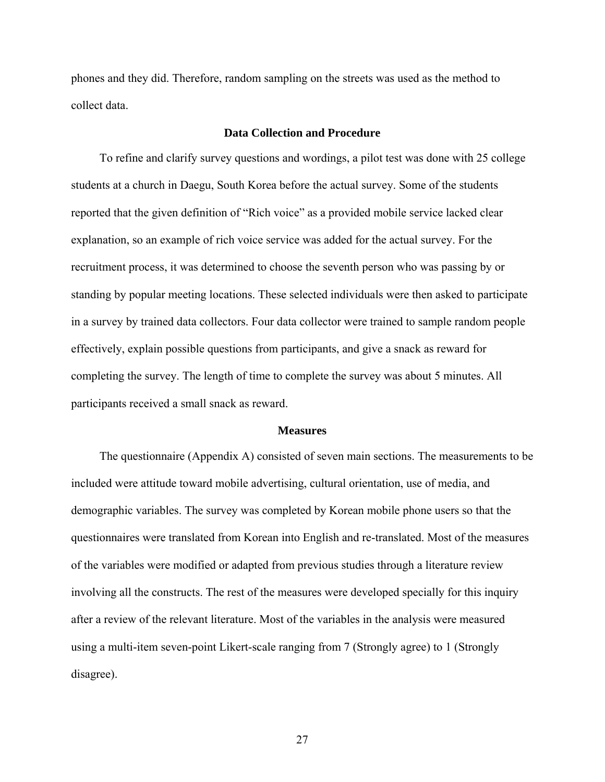<span id="page-26-0"></span>phones and they did. Therefore, random sampling on the streets was used as the method to collect data.

## **Data Collection and Procedure**

<span id="page-26-1"></span>To refine and clarify survey questions and wordings, a pilot test was done with 25 college students at a church in Daegu, South Korea before the actual survey. Some of the students reported that the given definition of "Rich voice" as a provided mobile service lacked clear explanation, so an example of rich voice service was added for the actual survey. For the recruitment process, it was determined to choose the seventh person who was passing by or standing by popular meeting locations. These selected individuals were then asked to participate in a survey by trained data collectors. Four data collector were trained to sample random people effectively, explain possible questions from participants, and give a snack as reward for completing the survey. The length of time to complete the survey was about 5 minutes. All participants received a small snack as reward.

#### **Measures**

<span id="page-26-2"></span>The questionnaire (Appendix A) consisted of seven main sections. The measurements to be included were attitude toward mobile advertising, cultural orientation, use of media, and demographic variables. The survey was completed by Korean mobile phone users so that the questionnaires were translated from Korean into English and re-translated. Most of the measures of the variables were modified or adapted from previous studies through a literature review involving all the constructs. The rest of the measures were developed specially for this inquiry after a review of the relevant literature. Most of the variables in the analysis were measured using a multi-item seven-point Likert-scale ranging from 7 (Strongly agree) to 1 (Strongly disagree).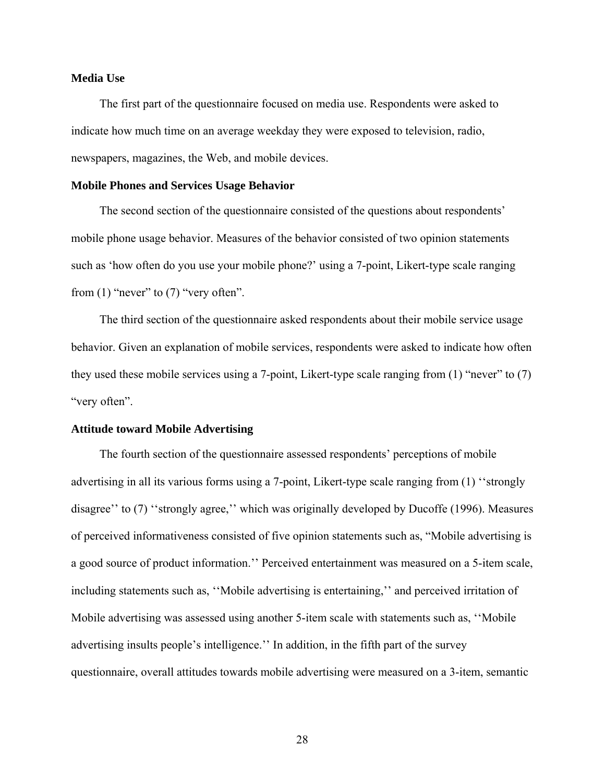### <span id="page-27-1"></span><span id="page-27-0"></span>**Media Use**

The first part of the questionnaire focused on media use. Respondents were asked to indicate how much time on an average weekday they were exposed to television, radio, newspapers, magazines, the Web, and mobile devices.

#### <span id="page-27-2"></span>**Mobile Phones and Services Usage Behavior**

The second section of the questionnaire consisted of the questions about respondents' mobile phone usage behavior. Measures of the behavior consisted of two opinion statements such as 'how often do you use your mobile phone?' using a 7-point, Likert-type scale ranging from  $(1)$  "never" to  $(7)$  "very often".

The third section of the questionnaire asked respondents about their mobile service usage behavior. Given an explanation of mobile services, respondents were asked to indicate how often they used these mobile services using a 7-point, Likert-type scale ranging from (1) "never" to (7) "very often".

#### <span id="page-27-3"></span>**Attitude toward Mobile Advertising**

The fourth section of the questionnaire assessed respondents' perceptions of mobile advertising in all its various forms using a 7-point, Likert-type scale ranging from (1) ''strongly disagree'' to (7) ''strongly agree,'' which was originally developed by Ducoffe (1996). Measures of perceived informativeness consisted of five opinion statements such as, "Mobile advertising is a good source of product information.'' Perceived entertainment was measured on a 5-item scale, including statements such as, ''Mobile advertising is entertaining,'' and perceived irritation of Mobile advertising was assessed using another 5-item scale with statements such as, ''Mobile advertising insults people's intelligence.'' In addition, in the fifth part of the survey questionnaire, overall attitudes towards mobile advertising were measured on a 3-item, semantic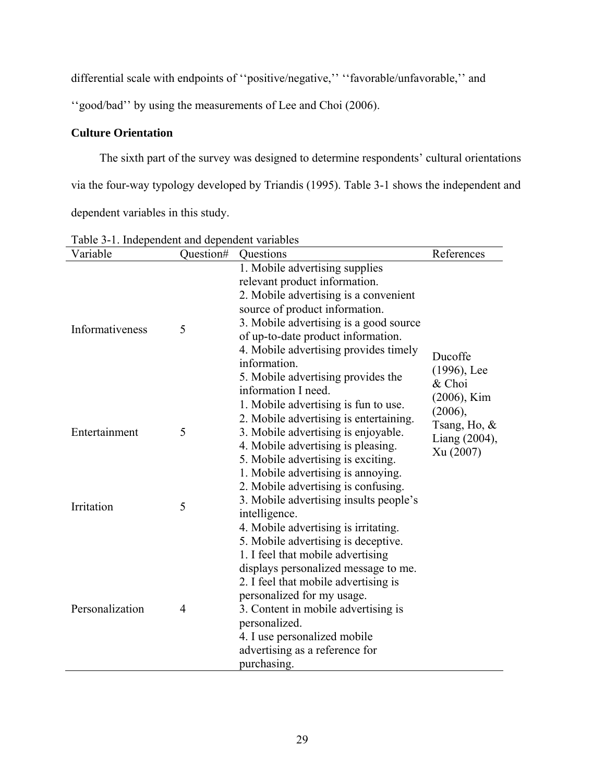<span id="page-28-0"></span>differential scale with endpoints of ''positive/negative,'' ''favorable/unfavorable,'' and

''good/bad'' by using the measurements of Lee and Choi (2006).

# <span id="page-28-1"></span>**Culture Orientation**

The sixth part of the survey was designed to determine respondents' cultural orientations via the four-way typology developed by Triandis (1995). Table 3-1 shows the independent and dependent variables in this study.

| Variable        | Question#      | Questions                                                                                                                                                                                                                                                   | References                                                       |
|-----------------|----------------|-------------------------------------------------------------------------------------------------------------------------------------------------------------------------------------------------------------------------------------------------------------|------------------------------------------------------------------|
| Informativeness | 5              | 1. Mobile advertising supplies<br>relevant product information.<br>2. Mobile advertising is a convenient<br>source of product information.<br>3. Mobile advertising is a good source                                                                        |                                                                  |
|                 |                | of up-to-date product information.<br>4. Mobile advertising provides timely<br>information.<br>5. Mobile advertising provides the<br>information I need.<br>1. Mobile advertising is fun to use.                                                            | Ducoffe<br>$(1996)$ , Lee<br>& Choi<br>$(2006)$ , Kim<br>(2006), |
| Entertainment   | 5              | 2. Mobile advertising is entertaining.<br>3. Mobile advertising is enjoyable.<br>4. Mobile advertising is pleasing.<br>5. Mobile advertising is exciting.<br>1. Mobile advertising is annoying.<br>2. Mobile advertising is confusing.                      | Tsang, Ho, $\&$<br>Liang (2004),<br>Xu (2007)                    |
| Irritation      | 5              | 3. Mobile advertising insults people's<br>intelligence.<br>4. Mobile advertising is irritating.<br>5. Mobile advertising is deceptive.<br>1. I feel that mobile advertising<br>displays personalized message to me.<br>2. I feel that mobile advertising is |                                                                  |
| Personalization | $\overline{4}$ | personalized for my usage.<br>3. Content in mobile advertising is<br>personalized.<br>4. I use personalized mobile<br>advertising as a reference for<br>purchasing.                                                                                         |                                                                  |

<span id="page-28-2"></span>Table 3-1. Independent and dependent variables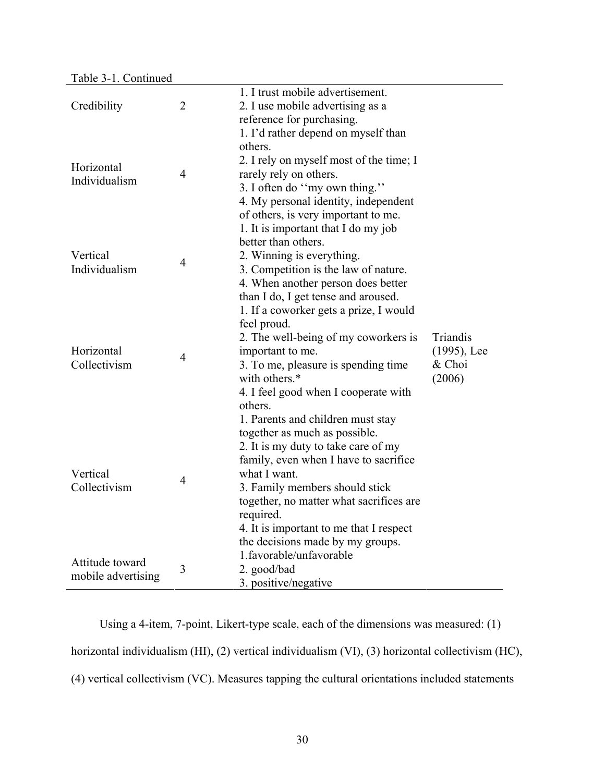|                    |                | 1. I trust mobile advertisement.                                             |                          |
|--------------------|----------------|------------------------------------------------------------------------------|--------------------------|
| Credibility        | $\overline{2}$ | 2. I use mobile advertising as a                                             |                          |
|                    |                | reference for purchasing.                                                    |                          |
|                    |                | 1. I'd rather depend on myself than                                          |                          |
|                    |                | others.                                                                      |                          |
|                    |                | 2. I rely on myself most of the time; I                                      |                          |
| Horizontal         | $\overline{4}$ | rarely rely on others.                                                       |                          |
| Individualism      |                | 3. I often do "my own thing."                                                |                          |
|                    |                | 4. My personal identity, independent                                         |                          |
|                    |                | of others, is very important to me.                                          |                          |
|                    |                | 1. It is important that I do my job                                          |                          |
|                    |                | better than others.                                                          |                          |
| Vertical           |                | 2. Winning is everything.                                                    |                          |
| Individualism      | $\overline{4}$ | 3. Competition is the law of nature.                                         |                          |
|                    |                | 4. When another person does better                                           |                          |
|                    |                | than I do, I get tense and aroused.                                          |                          |
|                    |                | 1. If a coworker gets a prize, I would                                       |                          |
|                    |                |                                                                              |                          |
|                    |                | feel proud.                                                                  | Triandis                 |
| Horizontal         |                | 2. The well-being of my coworkers is                                         |                          |
| Collectivism       | $\overline{4}$ | important to me.                                                             | $(1995)$ , Lee<br>& Choi |
|                    |                | 3. To me, pleasure is spending time<br>with others.*                         | (2006)                   |
|                    |                |                                                                              |                          |
|                    |                | 4. I feel good when I cooperate with<br>others.                              |                          |
|                    |                |                                                                              |                          |
|                    |                | 1. Parents and children must stay                                            |                          |
|                    |                | together as much as possible.                                                |                          |
|                    |                | 2. It is my duty to take care of my<br>family, even when I have to sacrifice |                          |
| Vertical           |                | what I want.                                                                 |                          |
| Collectivism       | $\overline{4}$ |                                                                              |                          |
|                    |                | 3. Family members should stick                                               |                          |
|                    |                | together, no matter what sacrifices are                                      |                          |
|                    |                | required.                                                                    |                          |
|                    |                | 4. It is important to me that I respect                                      |                          |
|                    |                | the decisions made by my groups.<br>1.favorable/unfavorable                  |                          |
| Attitude toward    | 3              |                                                                              |                          |
| mobile advertising |                | 2. good/bad                                                                  |                          |
|                    |                | 3. positive/negative                                                         |                          |

Using a 4-item, 7-point, Likert-type scale, each of the dimensions was measured: (1) horizontal individualism (HI), (2) vertical individualism (VI), (3) horizontal collectivism (HC), (4) vertical collectivism (VC). Measures tapping the cultural orientations included statements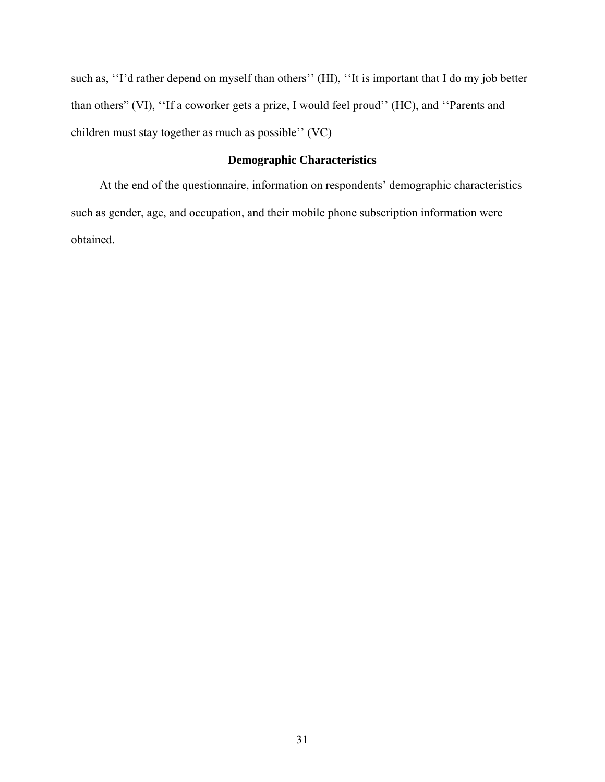<span id="page-30-0"></span>such as, ''I'd rather depend on myself than others'' (HI), ''It is important that I do my job better than others" (VI), ''If a coworker gets a prize, I would feel proud'' (HC), and ''Parents and children must stay together as much as possible'' (VC)

# **Demographic Characteristics**

<span id="page-30-1"></span>At the end of the questionnaire, information on respondents' demographic characteristics such as gender, age, and occupation, and their mobile phone subscription information were obtained.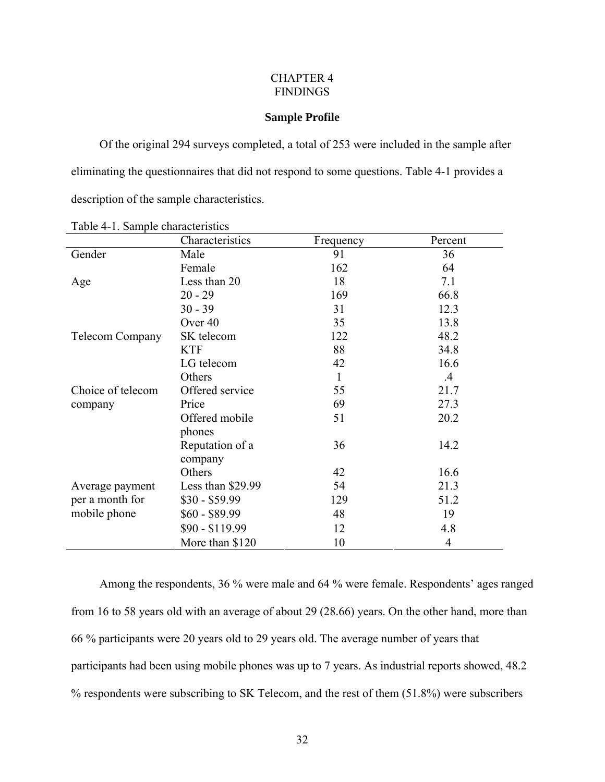## CHAPTER 4 FINDINGS

## **Sample Profile**

<span id="page-31-1"></span><span id="page-31-0"></span>Of the original 294 surveys completed, a total of 253 were included in the sample after eliminating the questionnaires that did not respond to some questions. Table 4-1 provides a description of the sample characteristics.

<span id="page-31-2"></span>

| raore r r. Sampre characteristics | Characteristics            | Frequency    | Percent       |
|-----------------------------------|----------------------------|--------------|---------------|
| Gender                            | Male                       | 91           | 36            |
|                                   | Female                     | 162          | 64            |
| Age                               | Less than 20               | 18           | 7.1           |
|                                   | $20 - 29$                  | 169          | 66.8          |
|                                   | $30 - 39$                  | 31           | 12.3          |
|                                   | Over 40                    | 35           | 13.8          |
| <b>Telecom Company</b>            | SK telecom                 | 122          | 48.2          |
|                                   | <b>KTF</b>                 | 88           | 34.8          |
|                                   | LG telecom                 | 42           | 16.6          |
|                                   | Others                     | $\mathbf{1}$ | $\mathcal{A}$ |
| Choice of telecom                 | Offered service            | 55           | 21.7          |
| company                           | Price                      | 69           | 27.3          |
|                                   | Offered mobile<br>phones   | 51           | 20.2          |
|                                   | Reputation of a<br>company | 36           | 14.2          |
|                                   | Others                     | 42           | 16.6          |
| Average payment                   | Less than \$29.99          | 54           | 21.3          |
| per a month for                   | $$30 - $59.99$             | 129          | 51.2          |
| mobile phone                      | $$60 - $89.99$             | 48           | 19            |
|                                   | $$90 - $119.99$            | 12           | 4.8           |
|                                   | More than \$120            | 10           | 4             |

Table 4-1. Sample characteristics

Among the respondents, 36 % were male and 64 % were female. Respondents' ages ranged from 16 to 58 years old with an average of about 29 (28.66) years. On the other hand, more than 66 % participants were 20 years old to 29 years old. The average number of years that participants had been using mobile phones was up to 7 years. As industrial reports showed, 48.2 % respondents were subscribing to SK Telecom, and the rest of them (51.8%) were subscribers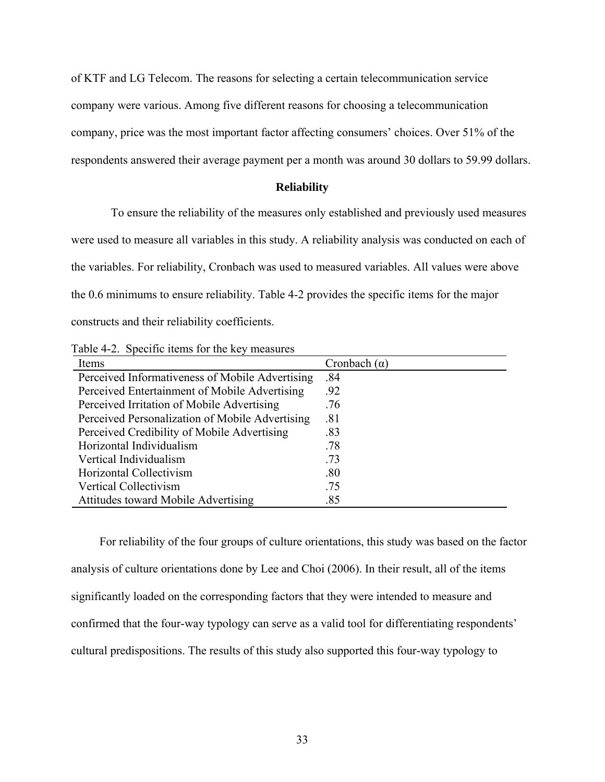<span id="page-32-0"></span>of KTF and LG Telecom. The reasons for selecting a certain telecommunication service

company were various. Among five different reasons for choosing a telecommunication

company, price was the most important factor affecting consumers' choices. Over 51% of the

respondents answered their average payment per a month was around 30 dollars to 59.99 dollars.

# **Reliability**

To ensure the reliability of the measures only established and previously used measures

were used to measure all variables in this study. A reliability analysis was conducted on each of

the variables. For reliability, Cronbach was used to measured variables. All values were above

the 0.6 minimums to ensure reliability. Table 4-2 provides the specific items for the major

constructs and their reliability coefficients.

<span id="page-32-2"></span>

| Table 4-2. Specific items for the key measures |
|------------------------------------------------|
|------------------------------------------------|

| Items                                           | Cronbach $(\alpha)$ |
|-------------------------------------------------|---------------------|
| Perceived Informativeness of Mobile Advertising | .84                 |
| Perceived Entertainment of Mobile Advertising   | .92                 |
| Perceived Irritation of Mobile Advertising      | .76                 |
| Perceived Personalization of Mobile Advertising | .81                 |
| Perceived Credibility of Mobile Advertising     | .83                 |
| Horizontal Individualism                        | .78                 |
| Vertical Individualism                          | .73                 |
| Horizontal Collectivism                         | .80                 |
| Vertical Collectivism                           | .75                 |
| <b>Attitudes toward Mobile Advertising</b>      | .85                 |

<span id="page-32-1"></span>For reliability of the four groups of culture orientations, this study was based on the factor analysis of culture orientations done by Lee and Choi (2006). In their result, all of the items significantly loaded on the corresponding factors that they were intended to measure and confirmed that the four-way typology can serve as a valid tool for differentiating respondents' cultural predispositions. The results of this study also supported this four-way typology to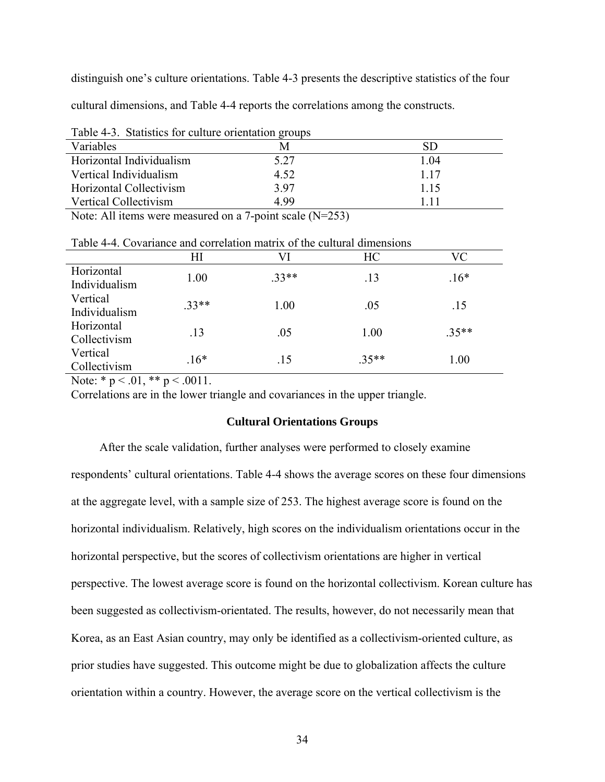<span id="page-33-0"></span>distinguish one's culture orientations. Table 4-3 presents the descriptive statistics of the four cultural dimensions, and Table 4-4 reports the correlations among the constructs.

<span id="page-33-2"></span>

|                          | Table +-9. Blanshes for culture difficulture groups |       |  |  |  |  |  |  |
|--------------------------|-----------------------------------------------------|-------|--|--|--|--|--|--|
| Variables                |                                                     | SD    |  |  |  |  |  |  |
| Horizontal Individualism | 5.27                                                | 1 04  |  |  |  |  |  |  |
| Vertical Individualism   | 4.52                                                | 1 1 7 |  |  |  |  |  |  |
| Horizontal Collectivism  | 397                                                 | 1 15  |  |  |  |  |  |  |
| Vertical Collectivism    | 499                                                 | 1 1 1 |  |  |  |  |  |  |
|                          |                                                     |       |  |  |  |  |  |  |

Table 4-3. Statistics for culture orientation groups

Note: All items were measured on a 7-point scale (N=253)

|                             | ΗΙ      | VI      | HC      | VC      |
|-----------------------------|---------|---------|---------|---------|
| Horizontal<br>Individualism | 1.00    | $.33**$ | .13     | $.16*$  |
| Vertical<br>Individualism   | $.33**$ | 1.00    | .05     | .15     |
| Horizontal<br>Collectivism  | .13     | .05     | 1.00    | $.35**$ |
| Vertical<br>Collectivism    | $.16*$  | .15     | $.35**$ | 1.00    |

<span id="page-33-3"></span>Table 4-4. Covariance and correlation matrix of the cultural dimensions

Note:  $* p < .01$ ,  $** p < .0011$ .

<span id="page-33-1"></span>Correlations are in the lower triangle and covariances in the upper triangle.

#### **Cultural Orientations Groups**

After the scale validation, further analyses were performed to closely examine respondents' cultural orientations. Table 4-4 shows the average scores on these four dimensions at the aggregate level, with a sample size of 253. The highest average score is found on the horizontal individualism. Relatively, high scores on the individualism orientations occur in the horizontal perspective, but the scores of collectivism orientations are higher in vertical perspective. The lowest average score is found on the horizontal collectivism. Korean culture has been suggested as collectivism-orientated. The results, however, do not necessarily mean that Korea, as an East Asian country, may only be identified as a collectivism-oriented culture, as prior studies have suggested. This outcome might be due to globalization affects the culture orientation within a country. However, the average score on the vertical collectivism is the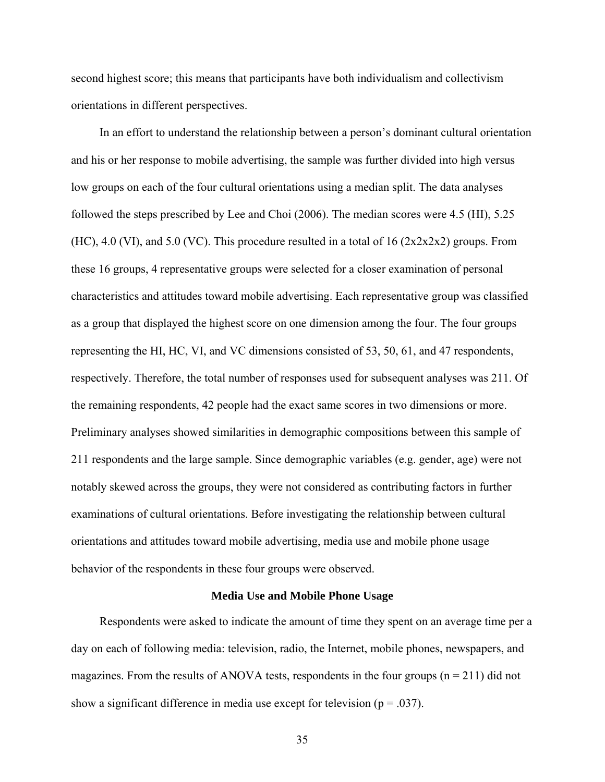<span id="page-34-0"></span>second highest score; this means that participants have both individualism and collectivism orientations in different perspectives.

In an effort to understand the relationship between a person's dominant cultural orientation and his or her response to mobile advertising, the sample was further divided into high versus low groups on each of the four cultural orientations using a median split. The data analyses followed the steps prescribed by Lee and Choi (2006). The median scores were 4.5 (HI), 5.25 (HC), 4.0 (VI), and 5.0 (VC). This procedure resulted in a total of 16  $(2x2x2x2)$  groups. From these 16 groups, 4 representative groups were selected for a closer examination of personal characteristics and attitudes toward mobile advertising. Each representative group was classified as a group that displayed the highest score on one dimension among the four. The four groups representing the HI, HC, VI, and VC dimensions consisted of 53, 50, 61, and 47 respondents, respectively. Therefore, the total number of responses used for subsequent analyses was 211. Of the remaining respondents, 42 people had the exact same scores in two dimensions or more. Preliminary analyses showed similarities in demographic compositions between this sample of 211 respondents and the large sample. Since demographic variables (e.g. gender, age) were not notably skewed across the groups, they were not considered as contributing factors in further examinations of cultural orientations. Before investigating the relationship between cultural orientations and attitudes toward mobile advertising, media use and mobile phone usage behavior of the respondents in these four groups were observed.

#### **Media Use and Mobile Phone Usage**

<span id="page-34-1"></span>Respondents were asked to indicate the amount of time they spent on an average time per a day on each of following media: television, radio, the Internet, mobile phones, newspapers, and magazines. From the results of ANOVA tests, respondents in the four groups  $(n = 211)$  did not show a significant difference in media use except for television ( $p = .037$ ).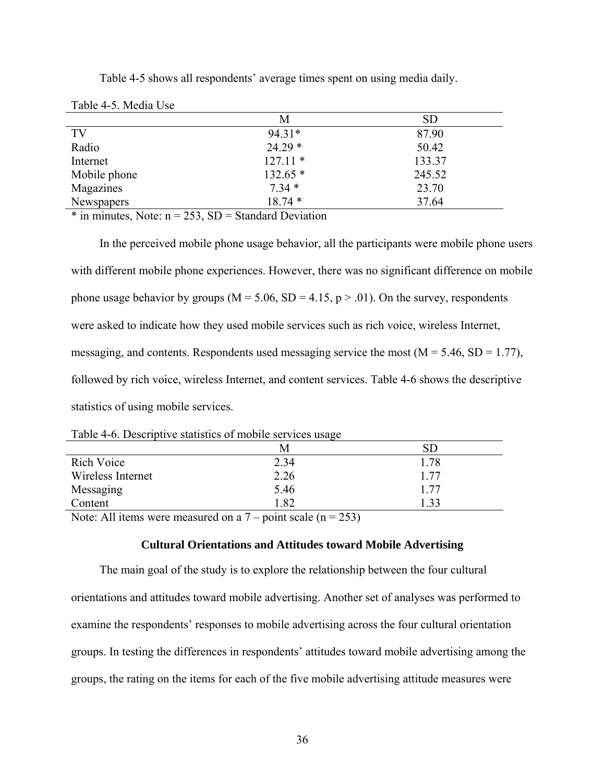<span id="page-35-2"></span><span id="page-35-0"></span>

| Table 4-5. Media Use |           |           |
|----------------------|-----------|-----------|
|                      | M         | <b>SD</b> |
| TV                   | 94.31*    | 87.90     |
| Radio                | $24.29*$  | 50.42     |
| Internet             | $127.11*$ | 133.37    |
| Mobile phone         | $132.65*$ | 245.52    |
| Magazines            | $7.34*$   | 23.70     |
| Newspapers           | $18.74*$  | 37.64     |

Table 4-5 shows all respondents' average times spent on using media daily.

 $*$  in minutes, Note:  $n = 253$ , SD = Standard Deviation

In the perceived mobile phone usage behavior, all the participants were mobile phone users with different mobile phone experiences. However, there was no significant difference on mobile phone usage behavior by groups ( $M = 5.06$ ,  $SD = 4.15$ ,  $p > .01$ ). On the survey, respondents were asked to indicate how they used mobile services such as rich voice, wireless Internet, messaging, and contents. Respondents used messaging service the most  $(M = 5.46, SD = 1.77)$ , followed by rich voice, wireless Internet, and content services. Table 4-6 shows the descriptive statistics of using mobile services.

| Table 4-6. Descriptive statistics of mobile services usage |  |
|------------------------------------------------------------|--|
|                                                            |  |

<span id="page-35-3"></span>

|                   | M                                                                                                                                                                                                                               |      |
|-------------------|---------------------------------------------------------------------------------------------------------------------------------------------------------------------------------------------------------------------------------|------|
| <b>Rich Voice</b> | 2.34                                                                                                                                                                                                                            | 1.78 |
| Wireless Internet | 2.26                                                                                                                                                                                                                            | 177  |
| Messaging         | 5.46                                                                                                                                                                                                                            | 1.77 |
| Content           | 1.82                                                                                                                                                                                                                            | 1.33 |
|                   | $\sim$ . The contract of the contract of the contract of the contract of the contract of the contract of the contract of the contract of the contract of the contract of the contract of the contract of the contract of the co |      |

Note: All items were measured on a  $7$  – point scale (n = 253)

## **Cultural Orientations and Attitudes toward Mobile Advertising**

<span id="page-35-1"></span>The main goal of the study is to explore the relationship between the four cultural orientations and attitudes toward mobile advertising. Another set of analyses was performed to examine the respondents' responses to mobile advertising across the four cultural orientation groups. In testing the differences in respondents' attitudes toward mobile advertising among the groups, the rating on the items for each of the five mobile advertising attitude measures were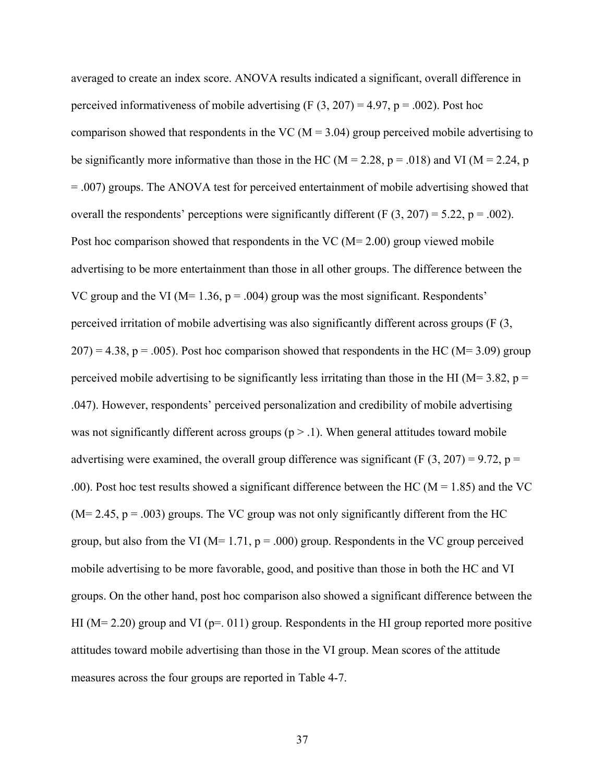averaged to create an index score. ANOVA results indicated a significant, overall difference in perceived informativeness of mobile advertising  $(F (3, 207) = 4.97, p = .002)$ . Post hoc comparison showed that respondents in the VC ( $M = 3.04$ ) group perceived mobile advertising to be significantly more informative than those in the HC ( $M = 2.28$ ,  $p = .018$ ) and VI ( $M = 2.24$ , p = .007) groups. The ANOVA test for perceived entertainment of mobile advertising showed that overall the respondents' perceptions were significantly different (F  $(3, 207) = 5.22$ , p = .002). Post hoc comparison showed that respondents in the VC (M= 2.00) group viewed mobile advertising to be more entertainment than those in all other groups. The difference between the VC group and the VI ( $M= 1.36$ ,  $p = .004$ ) group was the most significant. Respondents' perceived irritation of mobile advertising was also significantly different across groups (F (3,  $207$ ) = 4.38, p = .005). Post hoc comparison showed that respondents in the HC (M= 3.09) group perceived mobile advertising to be significantly less irritating than those in the HI ( $M=3.82$ ,  $p=$ .047). However, respondents' perceived personalization and credibility of mobile advertising was not significantly different across groups  $(p > 0.1)$ . When general attitudes toward mobile advertising were examined, the overall group difference was significant (F  $(3, 207) = 9.72$ , p = .00). Post hoc test results showed a significant difference between the HC ( $M = 1.85$ ) and the VC  $(M= 2.45, p = .003)$  groups. The VC group was not only significantly different from the HC group, but also from the VI ( $M= 1.71$ ,  $p = .000$ ) group. Respondents in the VC group perceived mobile advertising to be more favorable, good, and positive than those in both the HC and VI groups. On the other hand, post hoc comparison also showed a significant difference between the HI ( $M= 2.20$ ) group and VI ( $p=0.011$ ) group. Respondents in the HI group reported more positive attitudes toward mobile advertising than those in the VI group. Mean scores of the attitude measures across the four groups are reported in Table 4-7.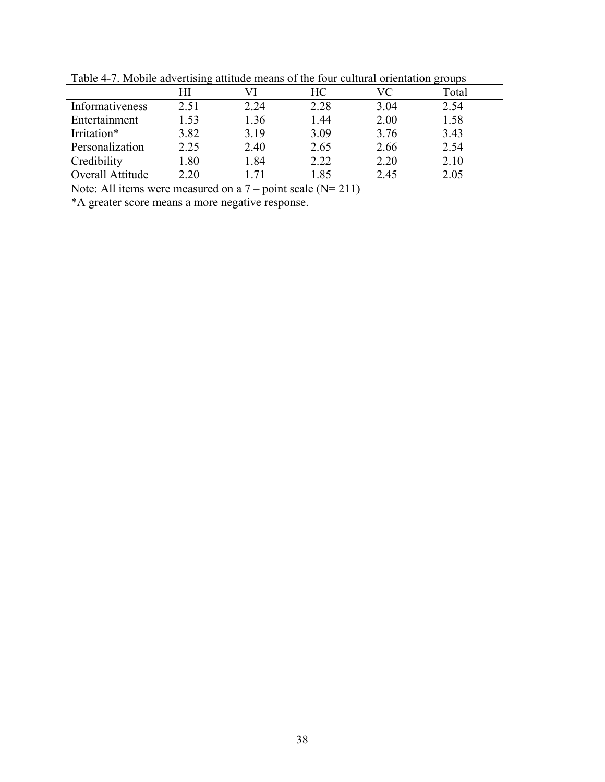|                  | ີ    |      |      |      |       |  |
|------------------|------|------|------|------|-------|--|
|                  | HІ   |      | HС   | VC   | Total |  |
| Informativeness  | 2.51 | 2.24 | 2.28 | 3.04 | 2.54  |  |
| Entertainment    | 1.53 | 1.36 | 1.44 | 2.00 | 1.58  |  |
| Irritation*      | 3.82 | 3.19 | 3.09 | 3.76 | 3.43  |  |
| Personalization  | 2.25 | 2.40 | 2.65 | 2.66 | 2.54  |  |
| Credibility      | 1.80 | 1.84 | 2.22 | 2.20 | 2.10  |  |
| Overall Attitude | 2.20 | 71   | 1.85 | 2.45 | 2.05  |  |

<span id="page-37-1"></span><span id="page-37-0"></span>Table 4-7. Mobile advertising attitude means of the four cultural orientation groups

Note: All items were measured on a  $7$  – point scale (N= 211)

\*A greater score means a more negative response.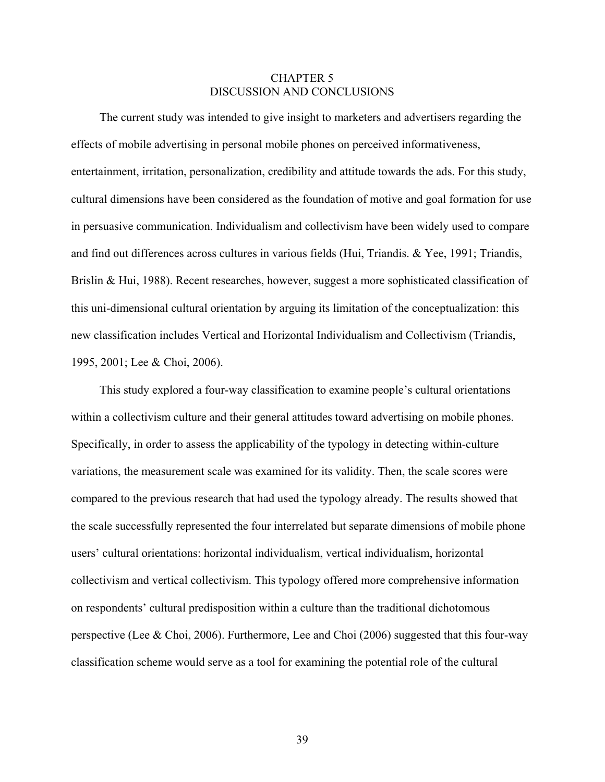## CHAPTER 5 DISCUSSION AND CONCLUSIONS

<span id="page-38-1"></span><span id="page-38-0"></span>The current study was intended to give insight to marketers and advertisers regarding the effects of mobile advertising in personal mobile phones on perceived informativeness, entertainment, irritation, personalization, credibility and attitude towards the ads. For this study, cultural dimensions have been considered as the foundation of motive and goal formation for use in persuasive communication. Individualism and collectivism have been widely used to compare and find out differences across cultures in various fields (Hui, Triandis. & Yee, 1991; Triandis, Brislin & Hui, 1988). Recent researches, however, suggest a more sophisticated classification of this uni-dimensional cultural orientation by arguing its limitation of the conceptualization: this new classification includes Vertical and Horizontal Individualism and Collectivism (Triandis, 1995, 2001; Lee & Choi, 2006).

This study explored a four-way classification to examine people's cultural orientations within a collectivism culture and their general attitudes toward advertising on mobile phones. Specifically, in order to assess the applicability of the typology in detecting within-culture variations, the measurement scale was examined for its validity. Then, the scale scores were compared to the previous research that had used the typology already. The results showed that the scale successfully represented the four interrelated but separate dimensions of mobile phone users' cultural orientations: horizontal individualism, vertical individualism, horizontal collectivism and vertical collectivism. This typology offered more comprehensive information on respondents' cultural predisposition within a culture than the traditional dichotomous perspective (Lee & Choi, 2006). Furthermore, Lee and Choi (2006) suggested that this four-way classification scheme would serve as a tool for examining the potential role of the cultural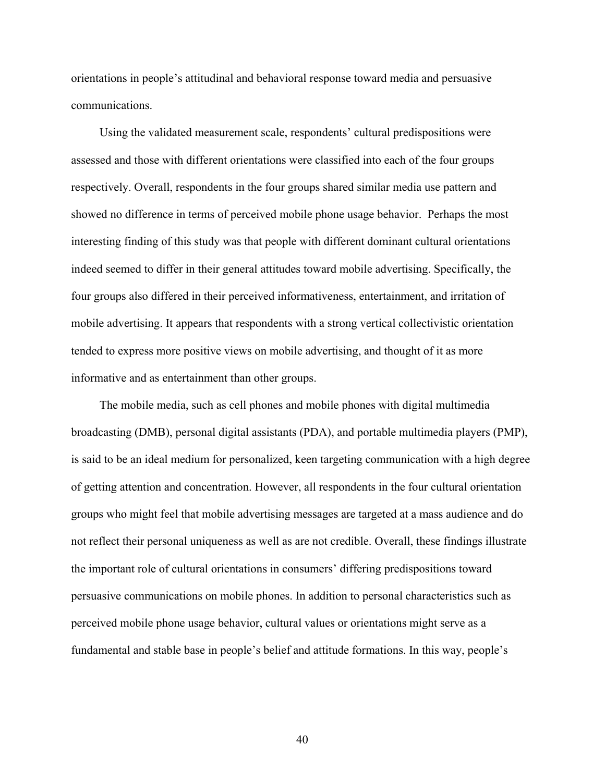orientations in people's attitudinal and behavioral response toward media and persuasive communications.

Using the validated measurement scale, respondents' cultural predispositions were assessed and those with different orientations were classified into each of the four groups respectively. Overall, respondents in the four groups shared similar media use pattern and showed no difference in terms of perceived mobile phone usage behavior. Perhaps the most interesting finding of this study was that people with different dominant cultural orientations indeed seemed to differ in their general attitudes toward mobile advertising. Specifically, the four groups also differed in their perceived informativeness, entertainment, and irritation of mobile advertising. It appears that respondents with a strong vertical collectivistic orientation tended to express more positive views on mobile advertising, and thought of it as more informative and as entertainment than other groups.

The mobile media, such as cell phones and mobile phones with digital multimedia broadcasting (DMB), personal digital assistants (PDA), and portable multimedia players (PMP), is said to be an ideal medium for personalized, keen targeting communication with a high degree of getting attention and concentration. However, all respondents in the four cultural orientation groups who might feel that mobile advertising messages are targeted at a mass audience and do not reflect their personal uniqueness as well as are not credible. Overall, these findings illustrate the important role of cultural orientations in consumers' differing predispositions toward persuasive communications on mobile phones. In addition to personal characteristics such as perceived mobile phone usage behavior, cultural values or orientations might serve as a fundamental and stable base in people's belief and attitude formations. In this way, people's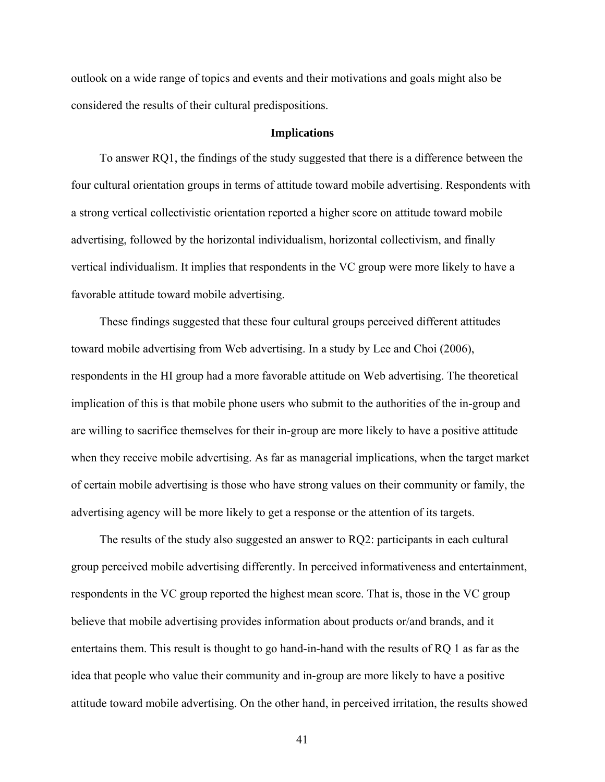<span id="page-40-0"></span>outlook on a wide range of topics and events and their motivations and goals might also be considered the results of their cultural predispositions.

#### **Implications**

<span id="page-40-1"></span>To answer RQ1, the findings of the study suggested that there is a difference between the four cultural orientation groups in terms of attitude toward mobile advertising. Respondents with a strong vertical collectivistic orientation reported a higher score on attitude toward mobile advertising, followed by the horizontal individualism, horizontal collectivism, and finally vertical individualism. It implies that respondents in the VC group were more likely to have a favorable attitude toward mobile advertising.

These findings suggested that these four cultural groups perceived different attitudes toward mobile advertising from Web advertising. In a study by Lee and Choi (2006), respondents in the HI group had a more favorable attitude on Web advertising. The theoretical implication of this is that mobile phone users who submit to the authorities of the in-group and are willing to sacrifice themselves for their in-group are more likely to have a positive attitude when they receive mobile advertising. As far as managerial implications, when the target market of certain mobile advertising is those who have strong values on their community or family, the advertising agency will be more likely to get a response or the attention of its targets.

The results of the study also suggested an answer to RQ2: participants in each cultural group perceived mobile advertising differently. In perceived informativeness and entertainment, respondents in the VC group reported the highest mean score. That is, those in the VC group believe that mobile advertising provides information about products or/and brands, and it entertains them. This result is thought to go hand-in-hand with the results of RQ 1 as far as the idea that people who value their community and in-group are more likely to have a positive attitude toward mobile advertising. On the other hand, in perceived irritation, the results showed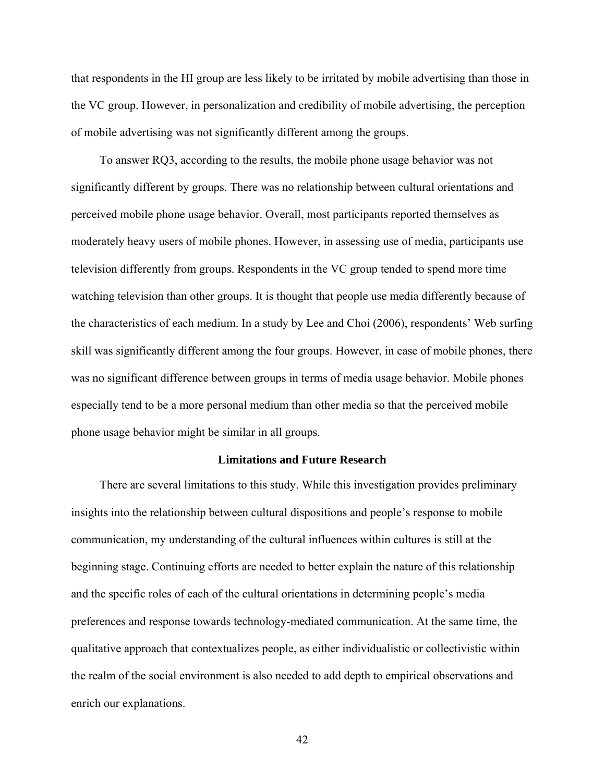<span id="page-41-0"></span>that respondents in the HI group are less likely to be irritated by mobile advertising than those in the VC group. However, in personalization and credibility of mobile advertising, the perception of mobile advertising was not significantly different among the groups.

To answer RQ3, according to the results, the mobile phone usage behavior was not significantly different by groups. There was no relationship between cultural orientations and perceived mobile phone usage behavior. Overall, most participants reported themselves as moderately heavy users of mobile phones. However, in assessing use of media, participants use television differently from groups. Respondents in the VC group tended to spend more time watching television than other groups. It is thought that people use media differently because of the characteristics of each medium. In a study by Lee and Choi (2006), respondents' Web surfing skill was significantly different among the four groups. However, in case of mobile phones, there was no significant difference between groups in terms of media usage behavior. Mobile phones especially tend to be a more personal medium than other media so that the perceived mobile phone usage behavior might be similar in all groups.

#### **Limitations and Future Research**

<span id="page-41-1"></span>There are several limitations to this study. While this investigation provides preliminary insights into the relationship between cultural dispositions and people's response to mobile communication, my understanding of the cultural influences within cultures is still at the beginning stage. Continuing efforts are needed to better explain the nature of this relationship and the specific roles of each of the cultural orientations in determining people's media preferences and response towards technology-mediated communication. At the same time, the qualitative approach that contextualizes people, as either individualistic or collectivistic within the realm of the social environment is also needed to add depth to empirical observations and enrich our explanations.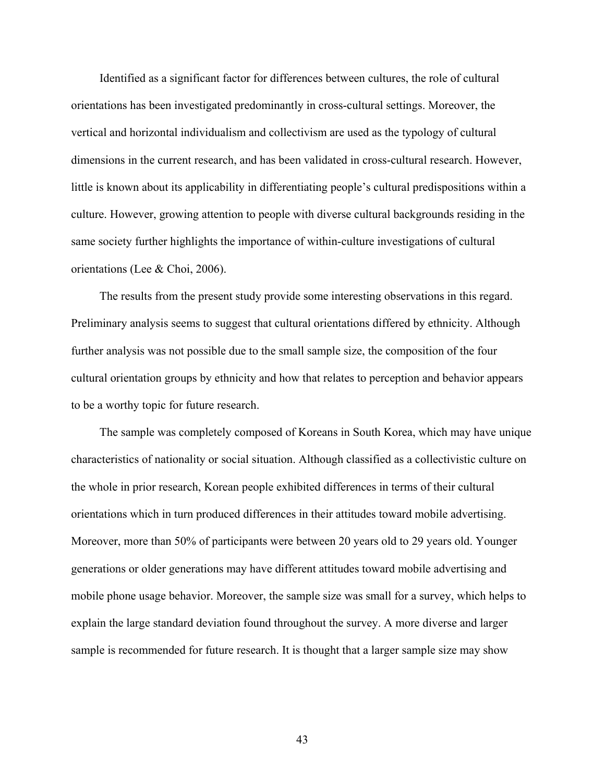Identified as a significant factor for differences between cultures, the role of cultural orientations has been investigated predominantly in cross-cultural settings. Moreover, the vertical and horizontal individualism and collectivism are used as the typology of cultural dimensions in the current research, and has been validated in cross-cultural research. However, little is known about its applicability in differentiating people's cultural predispositions within a culture. However, growing attention to people with diverse cultural backgrounds residing in the same society further highlights the importance of within-culture investigations of cultural orientations (Lee & Choi, 2006).

The results from the present study provide some interesting observations in this regard. Preliminary analysis seems to suggest that cultural orientations differed by ethnicity. Although further analysis was not possible due to the small sample size, the composition of the four cultural orientation groups by ethnicity and how that relates to perception and behavior appears to be a worthy topic for future research.

The sample was completely composed of Koreans in South Korea, which may have unique characteristics of nationality or social situation. Although classified as a collectivistic culture on the whole in prior research, Korean people exhibited differences in terms of their cultural orientations which in turn produced differences in their attitudes toward mobile advertising. Moreover, more than 50% of participants were between 20 years old to 29 years old. Younger generations or older generations may have different attitudes toward mobile advertising and mobile phone usage behavior. Moreover, the sample size was small for a survey, which helps to explain the large standard deviation found throughout the survey. A more diverse and larger sample is recommended for future research. It is thought that a larger sample size may show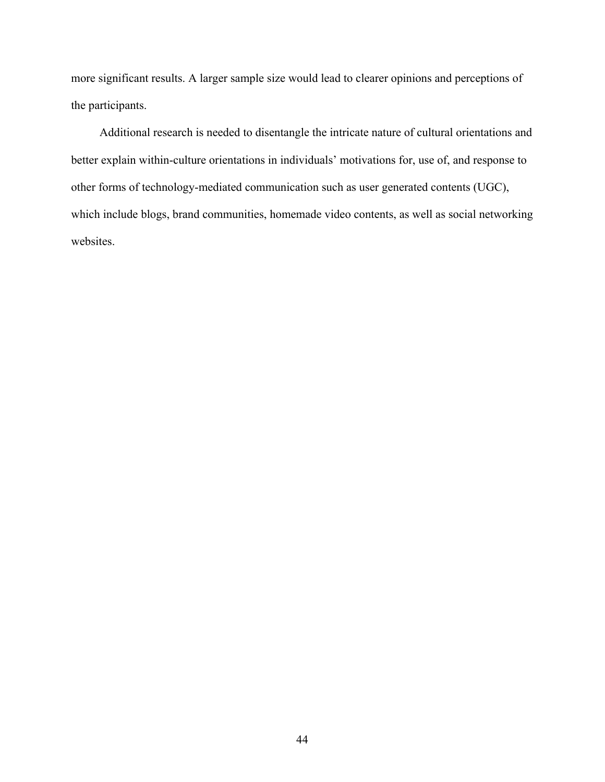more significant results. A larger sample size would lead to clearer opinions and perceptions of the participants.

Additional research is needed to disentangle the intricate nature of cultural orientations and better explain within-culture orientations in individuals' motivations for, use of, and response to other forms of technology-mediated communication such as user generated contents (UGC), which include blogs, brand communities, homemade video contents, as well as social networking websites.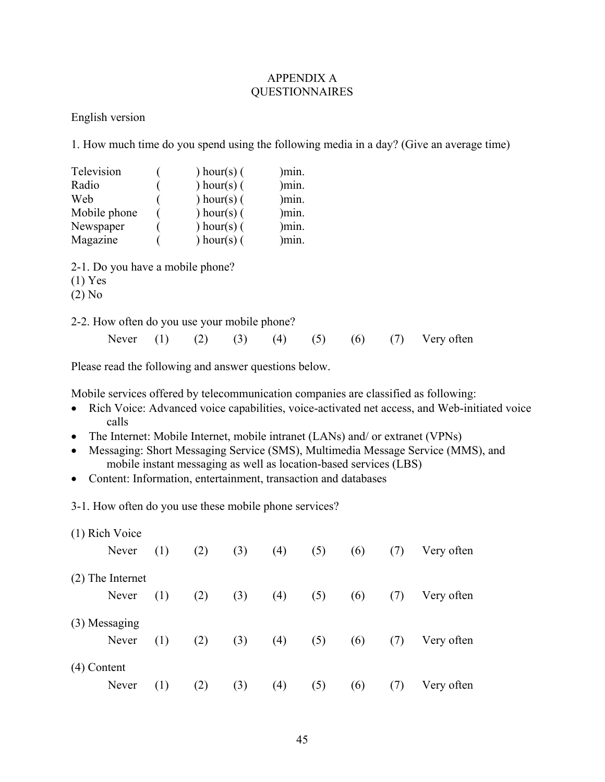# APPENDIX A QUESTIONNAIRES

<span id="page-44-1"></span><span id="page-44-0"></span>English version

1. How much time do you spend using the following media in a day? (Give an average time)

| Television<br>Radio                                       |     | ) hour(s) $($<br>) hour(s) $($ |     | min.<br>min. |     |     |     |            |
|-----------------------------------------------------------|-----|--------------------------------|-----|--------------|-----|-----|-----|------------|
| Web                                                       |     | ) hour(s) $($                  |     | min.         |     |     |     |            |
| Mobile phone                                              |     | ) hour(s) $($                  |     | )mın.        |     |     |     |            |
| Newspaper                                                 |     | ) hour(s) $($                  |     | )min.        |     |     |     |            |
| Magazine                                                  |     | ) hour(s) $($                  |     | min.         |     |     |     |            |
| 2-1. Do you have a mobile phone?<br>$(1)$ Yes<br>$(2)$ No |     |                                |     |              |     |     |     |            |
| 2-2. How often do you use your mobile phone?              |     |                                |     |              |     |     |     |            |
| Never                                                     | (1) | (2)                            | (3) | (4)          | (5) | (6) | (7) | Very often |

Please read the following and answer questions below.

Mobile services offered by telecommunication companies are classified as following:

- Rich Voice: Advanced voice capabilities, voice-activated net access, and Web-initiated voice calls
- The Internet: Mobile Internet, mobile intranet (LANs) and/ or extranet (VPNs)
- Messaging: Short Messaging Service (SMS), Multimedia Message Service (MMS), and mobile instant messaging as well as location-based services (LBS)
- Content: Information, entertainment, transaction and databases

3-1. How often do you use these mobile phone services?

| (1) Rich Voice |                    |     |     |     |     |     |     |     |            |
|----------------|--------------------|-----|-----|-----|-----|-----|-----|-----|------------|
|                | Never              | (1) | (2) | (3) | (4) | (5) | (6) | (7) | Very often |
|                | $(2)$ The Internet |     |     |     |     |     |     |     |            |
|                | Never              | (1) | (2) | (3) | (4) | (5) | (6) | (7) | Very often |
| (3) Messaging  |                    |     |     |     |     |     |     |     |            |
|                | Never              | (1) | (2) | (3) | (4) | (5) | (6) | (7) | Very often |
| $(4)$ Content  |                    |     |     |     |     |     |     |     |            |
|                | Never              | (1) | (2) | (3) | (4) | (5) | (6) | (7) | Very often |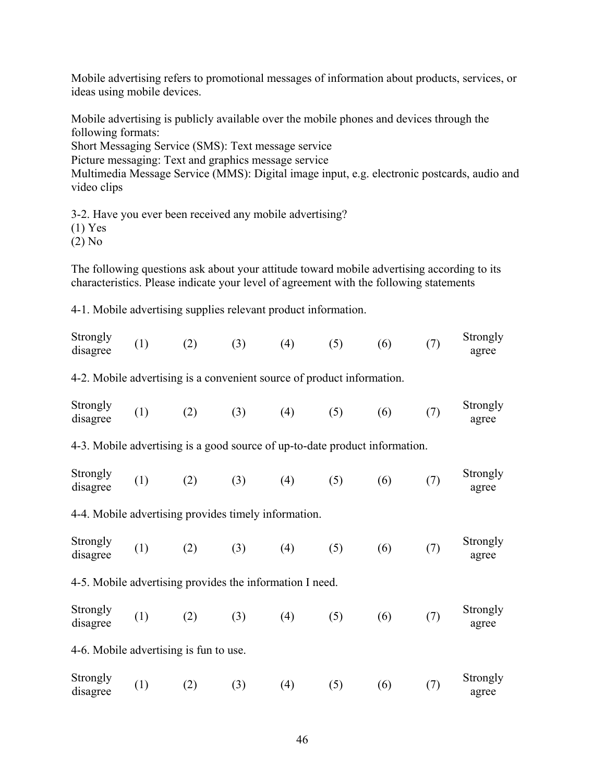Mobile advertising refers to promotional messages of information about products, services, or ideas using mobile devices.

Mobile advertising is publicly available over the mobile phones and devices through the following formats:

Short Messaging Service (SMS): Text message service

Picture messaging: Text and graphics message service

Multimedia Message Service (MMS): Digital image input, e.g. electronic postcards, audio and video clips

3-2. Have you ever been received any mobile advertising? (1) Yes

(2) No

The following questions ask about your attitude toward mobile advertising according to its characteristics. Please indicate your level of agreement with the following statements

4-1. Mobile advertising supplies relevant product information.

| Strongly<br>disagree                                                        | (1) | (2) | (3) | (4) | (5) | (6) | (7) | Strongly<br>agree |  |  |
|-----------------------------------------------------------------------------|-----|-----|-----|-----|-----|-----|-----|-------------------|--|--|
| 4-2. Mobile advertising is a convenient source of product information.      |     |     |     |     |     |     |     |                   |  |  |
| Strongly<br>disagree                                                        | (1) | (2) | (3) | (4) | (5) | (6) | (7) | Strongly<br>agree |  |  |
| 4-3. Mobile advertising is a good source of up-to-date product information. |     |     |     |     |     |     |     |                   |  |  |
| Strongly<br>disagree                                                        | (1) | (2) | (3) | (4) | (5) | (6) | (7) | Strongly<br>agree |  |  |
| 4-4. Mobile advertising provides timely information.                        |     |     |     |     |     |     |     |                   |  |  |
| Strongly<br>disagree                                                        | (1) | (2) | (3) | (4) | (5) | (6) | (7) | Strongly<br>agree |  |  |
| 4-5. Mobile advertising provides the information I need.                    |     |     |     |     |     |     |     |                   |  |  |
| Strongly<br>disagree                                                        | (1) | (2) | (3) | (4) | (5) | (6) | (7) | Strongly<br>agree |  |  |
| 4-6. Mobile advertising is fun to use.                                      |     |     |     |     |     |     |     |                   |  |  |
| Strongly<br>disagree                                                        | (1) | (2) | (3) | (4) | (5) | (6) | (7) | Strongly<br>agree |  |  |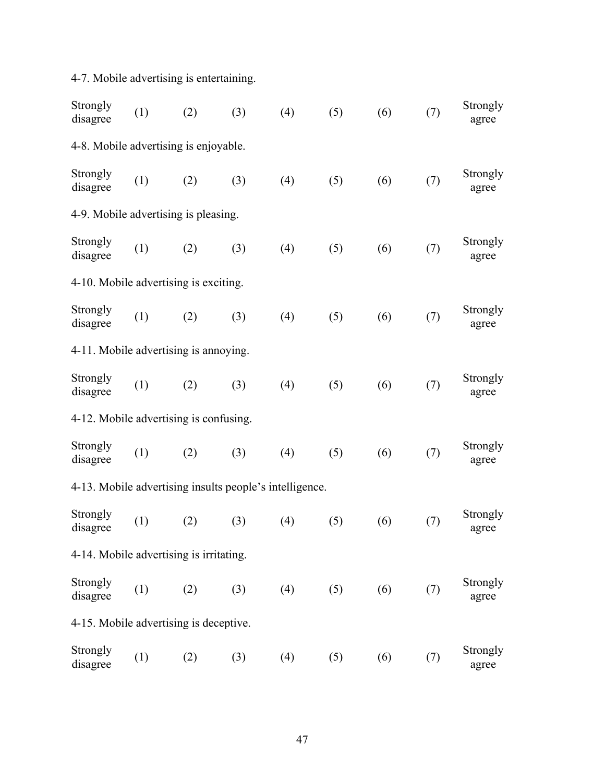4-7. Mobile advertising is entertaining.

| Strongly<br>disagree                                    | (1) | (2) | (3) | (4) | (5) | (6) | (7) | Strongly<br>agree |  |
|---------------------------------------------------------|-----|-----|-----|-----|-----|-----|-----|-------------------|--|
| 4-8. Mobile advertising is enjoyable.                   |     |     |     |     |     |     |     |                   |  |
| Strongly<br>disagree                                    | (1) | (2) | (3) | (4) | (5) | (6) | (7) | Strongly<br>agree |  |
| 4-9. Mobile advertising is pleasing.                    |     |     |     |     |     |     |     |                   |  |
| Strongly<br>disagree                                    | (1) | (2) | (3) | (4) | (5) | (6) | (7) | Strongly<br>agree |  |
| 4-10. Mobile advertising is exciting.                   |     |     |     |     |     |     |     |                   |  |
| Strongly<br>disagree                                    | (1) | (2) | (3) | (4) | (5) | (6) | (7) | Strongly<br>agree |  |
| 4-11. Mobile advertising is annoying.                   |     |     |     |     |     |     |     |                   |  |
| Strongly<br>disagree                                    | (1) | (2) | (3) | (4) | (5) | (6) | (7) | Strongly<br>agree |  |
| 4-12. Mobile advertising is confusing.                  |     |     |     |     |     |     |     |                   |  |
| Strongly<br>disagree                                    | (1) | (2) | (3) | (4) | (5) | (6) | (7) | Strongly<br>agree |  |
| 4-13. Mobile advertising insults people's intelligence. |     |     |     |     |     |     |     |                   |  |
| Strongly<br>disagree                                    | (1) | (2) | (3) | (4) | (5) | (6) | (7) | Strongly<br>agree |  |
| 4-14. Mobile advertising is irritating.                 |     |     |     |     |     |     |     |                   |  |
| Strongly<br>disagree                                    | (1) | (2) | (3) | (4) | (5) | (6) | (7) | Strongly<br>agree |  |
| 4-15. Mobile advertising is deceptive.                  |     |     |     |     |     |     |     |                   |  |
| Strongly<br>disagree                                    | (1) | (2) | (3) | (4) | (5) | (6) | (7) | Strongly<br>agree |  |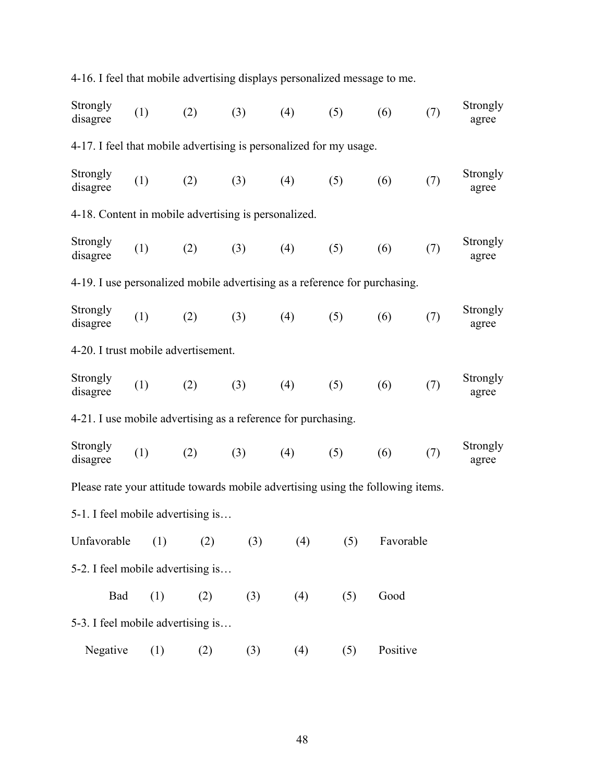| 4-16. I feel that mobile advertising displays personalized message to me.       |     |     |     |     |     |           |     |                          |
|---------------------------------------------------------------------------------|-----|-----|-----|-----|-----|-----------|-----|--------------------------|
| Strongly<br>disagree                                                            | (1) | (2) | (3) | (4) | (5) | (6)       | (7) | <b>Strongly</b><br>agree |
| 4-17. I feel that mobile advertising is personalized for my usage.              |     |     |     |     |     |           |     |                          |
| Strongly<br>disagree                                                            | (1) | (2) | (3) | (4) | (5) | (6)       | (7) | Strongly<br>agree        |
| 4-18. Content in mobile advertising is personalized.                            |     |     |     |     |     |           |     |                          |
| Strongly<br>disagree                                                            | (1) | (2) | (3) | (4) | (5) | (6)       | (7) | Strongly<br>agree        |
| 4-19. I use personalized mobile advertising as a reference for purchasing.      |     |     |     |     |     |           |     |                          |
| Strongly<br>disagree                                                            | (1) | (2) | (3) | (4) | (5) | (6)       | (7) | Strongly<br>agree        |
| 4-20. I trust mobile advertisement.                                             |     |     |     |     |     |           |     |                          |
| Strongly<br>disagree                                                            | (1) | (2) | (3) | (4) | (5) | (6)       | (7) | Strongly<br>agree        |
| 4-21. I use mobile advertising as a reference for purchasing.                   |     |     |     |     |     |           |     |                          |
| Strongly<br>disagree                                                            | (1) | (2) | (3) | (4) | (5) | (6)       | (7) | Strongly<br>agree        |
| Please rate your attitude towards mobile advertising using the following items. |     |     |     |     |     |           |     |                          |
| 5-1. I feel mobile advertising is                                               |     |     |     |     |     |           |     |                          |
| Unfavorable                                                                     | (1) | (2) | (3) | (4) | (5) | Favorable |     |                          |
| 5-2. I feel mobile advertising is                                               |     |     |     |     |     |           |     |                          |
| Bad                                                                             | (1) | (2) | (3) | (4) | (5) | Good      |     |                          |
| 5-3. I feel mobile advertising is                                               |     |     |     |     |     |           |     |                          |
| Negative                                                                        | (1) | (2) | (3) | (4) | (5) | Positive  |     |                          |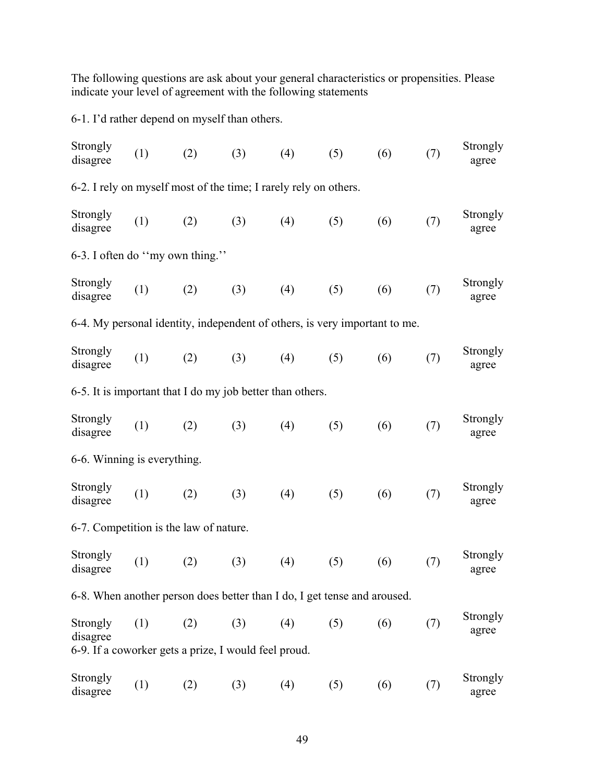The following questions are ask about your general characteristics or propensities. Please indicate your level of agreement with the following statements

6-1. I'd rather depend on myself than others.

| Strongly<br>disagree                                                       | (1) | (2) | (3) | (4) | (5) | (6) | (7) | Strongly<br>agree |
|----------------------------------------------------------------------------|-----|-----|-----|-----|-----|-----|-----|-------------------|
| 6-2. I rely on myself most of the time; I rarely rely on others.           |     |     |     |     |     |     |     |                   |
| Strongly<br>disagree                                                       | (1) | (2) | (3) | (4) | (5) | (6) | (7) | Strongly<br>agree |
| 6-3. I often do "my own thing."                                            |     |     |     |     |     |     |     |                   |
| Strongly<br>disagree                                                       | (1) | (2) | (3) | (4) | (5) | (6) | (7) | Strongly<br>agree |
| 6-4. My personal identity, independent of others, is very important to me. |     |     |     |     |     |     |     |                   |
| Strongly<br>disagree                                                       | (1) | (2) | (3) | (4) | (5) | (6) | (7) | Strongly<br>agree |
| 6-5. It is important that I do my job better than others.                  |     |     |     |     |     |     |     |                   |
| Strongly<br>disagree                                                       | (1) | (2) | (3) | (4) | (5) | (6) | (7) | Strongly<br>agree |
| 6-6. Winning is everything.                                                |     |     |     |     |     |     |     |                   |
| Strongly<br>disagree                                                       | (1) | (2) | (3) | (4) | (5) | (6) | (7) | Strongly<br>agree |
| 6-7. Competition is the law of nature.                                     |     |     |     |     |     |     |     |                   |
| Strongly<br>disagree                                                       | (1) | (2) | (3) | (4) | (5) | (6) | (7) | Strongly<br>agree |
| 6-8. When another person does better than I do, I get tense and aroused.   |     |     |     |     |     |     |     |                   |
| Strongly<br>disagree                                                       | (1) | (2) | (3) | (4) | (5) | (6) | (7) | Strongly<br>agree |
| 6-9. If a coworker gets a prize, I would feel proud.                       |     |     |     |     |     |     |     |                   |
| Strongly<br>disagree                                                       | (1) | (2) | (3) | (4) | (5) | (6) | (7) | Strongly<br>agree |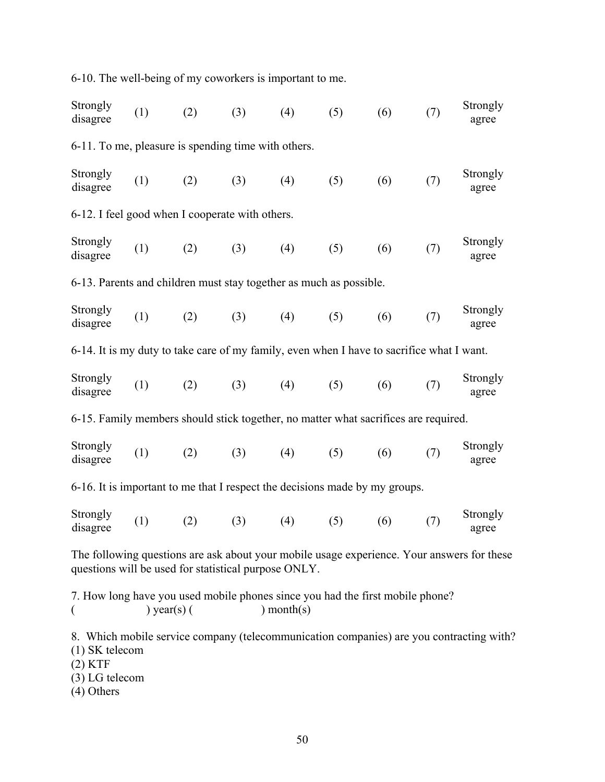Strongly Strongly (1) (2) (3) (4) (5) (6) (7) Strongly disagree agree 6-11. To me, pleasure is spending time with others. Strongly Strongly (1) (2) (3) (4) (5) (6) (7) Strongly disagree agree 6-12. I feel good when I cooperate with others. Strongly Strongly (1) (2) (3) (4) (5) (6) (7) Strongly agree agree 6-13. Parents and children must stay together as much as possible. Strongly Strongly (1) (2) (3) (4) (5) (6) (7) Strongly disagree agree 6-14. It is my duty to take care of my family, even when I have to sacrifice what I want. Strongly Strongly (1) (2) (3) (4) (5) (6) (7) Strongly disagree agree 6-15. Family members should stick together, no matter what sacrifices are required. **Strongly** Strongly (1) (2) (3) (4) (5) (6) (7) Strongly disagree agree 6-16. It is important to me that I respect the decisions made by my groups. **Strongly** Strongly (1) (2) (3) (4) (5) (6) (7) Strongly disagree agree The following questions are ask about your mobile usage experience. Your answers for these questions will be used for statistical purpose ONLY. 7. How long have you used mobile phones since you had the first mobile phone?  $($  ) year(s) ( ) month(s) 8. Which mobile service company (telecommunication companies) are you contracting with? (1) SK telecom

6-10. The well-being of my coworkers is important to me.

- (2) KTF
- (3) LG telecom
- (4) Others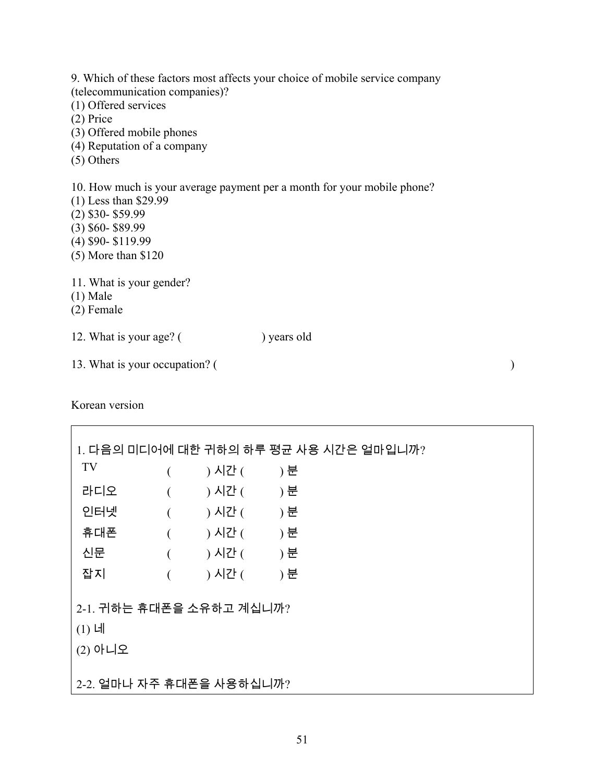9. Which of these factors most affects your choice of mobile service company (telecommunication companies)? (1) Offered services (2) Price (3) Offered mobile phones (4) Reputation of a company (5) Others 10. How much is your average payment per a month for your mobile phone? (1) Less than \$29.99 (2) \$30- \$59.99

- (3) \$60- \$89.99
- (4) \$90- \$119.99
- (5) More than \$120
- 11. What is your gender?
- (1) Male
- (2) Female

12. What is your age? () years old

13. What is your occupation? ( )

Korean version

Г

|                                                  |          | 1. 다음의 미디어에 대한 귀하의 하루 평균 사용 시간은 얼마입니까? |       |  |  |  |  |  |  |  |  |
|--------------------------------------------------|----------|----------------------------------------|-------|--|--|--|--|--|--|--|--|
| TV                                               |          | ) 시간 (                                 | ) 분   |  |  |  |  |  |  |  |  |
| 라디오                                              |          | ) 시간 (                                 | ) 분   |  |  |  |  |  |  |  |  |
| 인터넷                                              | $\left($ | ) 시간 (                                 | - ) 분 |  |  |  |  |  |  |  |  |
| 휴대폰                                              | $\left($ | ) 시간 (                                 | ) 분   |  |  |  |  |  |  |  |  |
| 신문                                               |          | ) 시간 (                                 | ) 분   |  |  |  |  |  |  |  |  |
| 잡지                                               |          | ) 시간 (                                 | ) 분   |  |  |  |  |  |  |  |  |
| 2-1. 귀하는 휴대폰을 소유하고 계십니까?<br>$(1)$ 네<br>$(2)$ 아니오 |          |                                        |       |  |  |  |  |  |  |  |  |
| 2-2. 얼마나 자주 휴대폰을 사용하십니까?                         |          |                                        |       |  |  |  |  |  |  |  |  |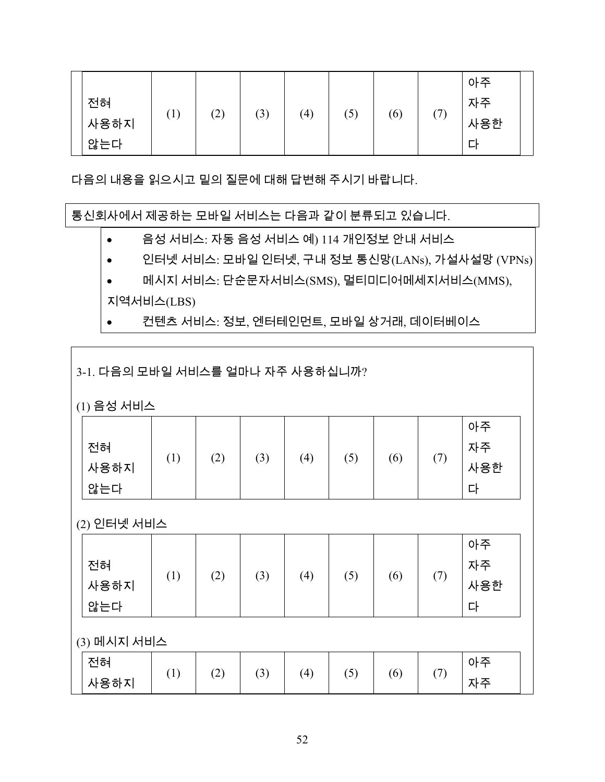|      |      |     |     |                  |     |     |            | 아주  |  |
|------|------|-----|-----|------------------|-----|-----|------------|-----|--|
| 전혀   | 74 Y |     |     |                  |     |     | $\sqrt{2}$ | 자주  |  |
| 사용하지 | (1)  | (2) | (3) | $\left(4\right)$ | (5) | (6) |            | 사용한 |  |
| 않는다  |      |     |     |                  |     |     |            | Е   |  |

다음의 내용을 읽으시고 밑의 질문에 대해 답변해 주시기 바랍니다.

통신회사에서 제공하는 모바일 서비스는 다음과 같이 분류되고 있습니다.

- 음성 서비스: 자동 음성 서비스 예) 114 개인정보 안내 서비스
- 인터넷 서비스: 모바일 인터넷, 구내 정보 통신망(LANs), 가설사설망 (VPNs)
- 메시지 서비스: 단순문자서비스(SMS), 멀티미디어메세지서비스(MMS), 지역서비스(LBS)
- 컨텐츠 서비스: 정보, 엔터테인먼트, 모바일 상거래, 데이터베이스

3-1. 다음의 모바일 서비스를 얼마나 자주 사용하십니까?

(1) 음성 서비스

|      |                  |     |     |     |     |     |            | 아주  |
|------|------------------|-----|-----|-----|-----|-----|------------|-----|
| 전혀   |                  |     |     |     |     |     | $\sqrt{2}$ | 자주  |
| 사용하지 | $\left(1\right)$ | (2) | (3) | (4) | (5) | (6) | (/)        | 사용한 |
| 않는다  |                  |     |     |     |     |     |            | 디   |

(2) 인터넷 서비스

| 전혀<br>사용하지<br>않는다 | (1)         | (2) | (3) | (4) | (5) | (6) | (7) | 아주<br>자주<br>사용한<br>다 |  |  |  |  |
|-------------------|-------------|-----|-----|-----|-----|-----|-----|----------------------|--|--|--|--|
|                   | (3) 메시지 서비스 |     |     |     |     |     |     |                      |  |  |  |  |
| 전혀<br>사용하지        | (1)         | (2) | (3) | (4) | (5) | (6) | (7) | 아주<br>자주             |  |  |  |  |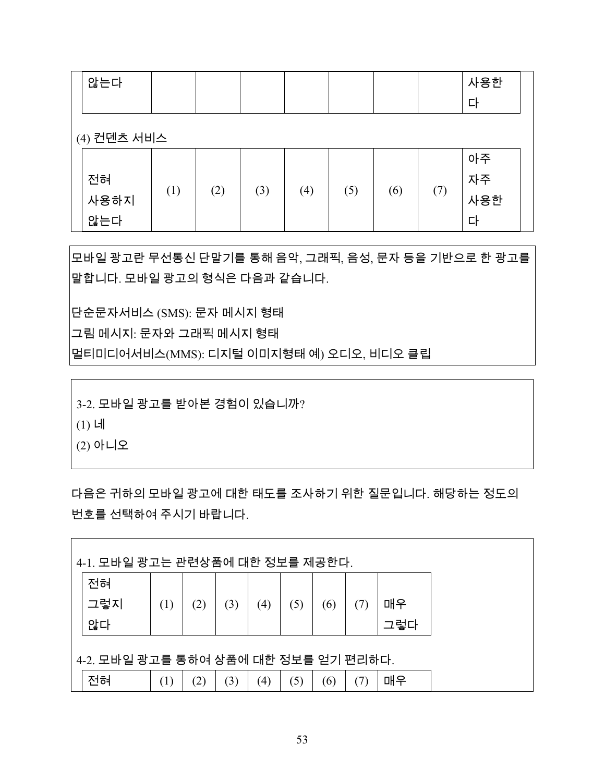| 않는다               |     |     |     |     |     |     |     | 사용한<br>다             |
|-------------------|-----|-----|-----|-----|-----|-----|-----|----------------------|
| (4) 컨덴츠 서비스       |     |     |     |     |     |     |     |                      |
| 전혀<br>사용하지<br>않는다 | (1) | (2) | (3) | (4) | (5) | (6) | (7) | 아주<br>자주<br>사용한<br>다 |

모바일 광고란 무선통신 단말기를 통해 음악, 그래픽, 음성, 문자 등을 기반으로 한 광고를 말합니다. 모바일 광고의 형식은 다음과 같습니다.

단순문자서비스 (SMS): 문자 메시지 형태

그림 메시지: 문자와 그래픽 메시지 형태

멀티미디어서비스(MMS): 디지털 이미지형태 예) 오디오, 비디오 클립

3-2. 모바일 광고를 받아본 경험이 있습니까?

(1) 네

(2) 아니오

다음은 귀하의 모바일 광고에 대한 태도를 조사하기 위한 질문입니다. 해당하는 정도의 번호를 선택하여 주시기 바랍니다.

|                                      | 4-1. 모바일 광고는 관련상품에 대한 정보를 제공한다. |     |     |                   |     |     |     |     |  |  |  |  |  |  |
|--------------------------------------|---------------------------------|-----|-----|-------------------|-----|-----|-----|-----|--|--|--|--|--|--|
| 전혀                                   |                                 |     |     |                   |     |     |     |     |  |  |  |  |  |  |
| 그렇지                                  | (1)                             | (2) | (3) | (4)               | (5) | (6) | (7) | 매우  |  |  |  |  |  |  |
| 않다                                   |                                 |     |     |                   |     |     |     | 그렇다 |  |  |  |  |  |  |
| 4-2. 모바일 광고를 통하여 상품에 대한 정보를 얻기 편리하다. |                                 |     |     |                   |     |     |     |     |  |  |  |  |  |  |
| 전혀                                   | (1)                             | (2) | (3) | $\left( 4\right)$ | (5) | (6) | (7) | 매우  |  |  |  |  |  |  |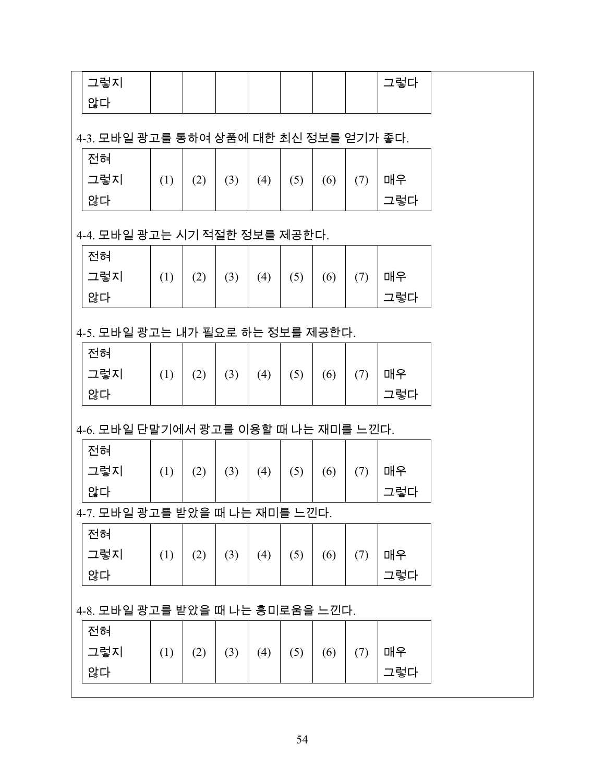| 그렇지                                    |     |     |     |     |     |     |     | 그렇다 |  |
|----------------------------------------|-----|-----|-----|-----|-----|-----|-----|-----|--|
| 않다                                     |     |     |     |     |     |     |     |     |  |
|                                        |     |     |     |     |     |     |     |     |  |
| 4-3. 모바일 광고를 통하여 상품에 대한 최신 정보를 얻기가 좋다. |     |     |     |     |     |     |     |     |  |
| 전혀                                     |     |     |     |     |     |     |     |     |  |
| 그렇지                                    | (1) | (2) | (3) | (4) | (5) | (6) | (7) | 매우  |  |
| 않다                                     |     |     |     |     |     |     |     | 그렇다 |  |
| 4-4. 모바일 광고는 시기 적절한 정보를 제공한다.          |     |     |     |     |     |     |     |     |  |
| 전혀                                     |     |     |     |     |     |     |     |     |  |
| 그렇지                                    | (1) | (2) | (3) | (4) | (5) | (6) | (7) | 매우  |  |
| 않다                                     |     |     |     |     |     |     |     | 그렇다 |  |
|                                        |     |     |     |     |     |     |     |     |  |
| 4-5. 모바일 광고는 내가 필요로 하는 정보를 제공한다.       |     |     |     |     |     |     |     |     |  |
| 전혀                                     |     |     |     |     |     |     |     |     |  |
| 그렇지                                    | (1) | (2) | (3) | (4) | (5) | (6) | (7) | 매우  |  |
| 않다                                     |     |     |     |     |     |     |     | 그렇다 |  |
|                                        |     |     |     |     |     |     |     |     |  |
| 4-6. 모바일 단말기에서 광고를 이용할 때 나는 재미를 느낀다.   |     |     |     |     |     |     |     |     |  |
| 전혀                                     |     |     |     |     |     |     |     |     |  |
| 그렇지                                    | (1) | (2) | (3) | (4) | (5) | (6) | (7) | 매우  |  |
| 않다                                     |     |     |     |     |     |     |     | 그렇다 |  |
| 4-7. 모바일 광고를 받았을 때 나는 재미를 느낀다.         |     |     |     |     |     |     |     |     |  |
| 전혀                                     |     |     |     |     |     |     |     |     |  |
| 그렇지                                    | (1) | (2) | (3) | (4) | (5) | (6) | (7) | 매우  |  |
| 않다                                     |     |     |     |     |     |     |     | 그렇다 |  |
|                                        |     |     |     |     |     |     |     |     |  |
| 4-8. 모바일 광고를 받았을 때 나는 흥미로움을 느낀다.       |     |     |     |     |     |     |     |     |  |
| 전혀                                     |     |     |     |     |     |     |     |     |  |
| 그렇지                                    | (1) | (2) | (3) | (4) | (5) | (6) | (7) | 매우  |  |
| 않다                                     |     |     |     |     |     |     |     | 그렇다 |  |
|                                        |     |     |     |     |     |     |     |     |  |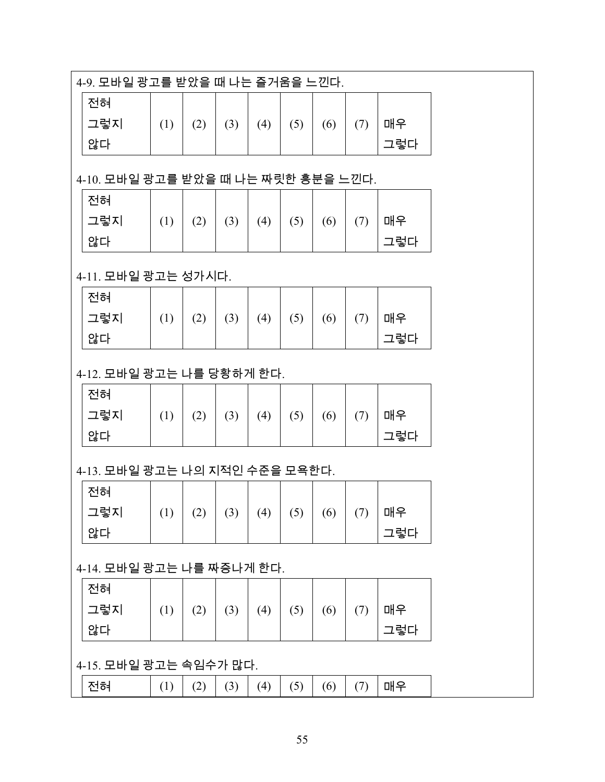| 4-9. 모바일 광고를 받았을 때 나는 즐거움을 느낀다. |                                     |     |     |     |     |     |     |     |  |  |  |  |  |  |  |
|---------------------------------|-------------------------------------|-----|-----|-----|-----|-----|-----|-----|--|--|--|--|--|--|--|
| 전혀                              |                                     |     |     |     |     |     |     |     |  |  |  |  |  |  |  |
| 그렇지                             | (1)                                 | (2) | (3) | (4) | (5) | (6) | (7) | 매우  |  |  |  |  |  |  |  |
| 않다                              |                                     |     |     |     |     |     |     | 그렇다 |  |  |  |  |  |  |  |
|                                 | 4-10. 모바일 광고를 받았을 때 나는 짜릿한 흥분을 느낀다. |     |     |     |     |     |     |     |  |  |  |  |  |  |  |
|                                 |                                     |     |     |     |     |     |     |     |  |  |  |  |  |  |  |
| 전혀                              |                                     |     |     |     |     |     |     |     |  |  |  |  |  |  |  |
| 그렇지                             | (1)                                 | (2) | (3) | (4) | (5) | (6) | (7) | 매우  |  |  |  |  |  |  |  |
| 않다                              |                                     |     |     |     |     |     |     | 그렇다 |  |  |  |  |  |  |  |
| 4-11. 모바일 광고는 성가시다.             |                                     |     |     |     |     |     |     |     |  |  |  |  |  |  |  |
| 전혀                              |                                     |     |     |     |     |     |     |     |  |  |  |  |  |  |  |
| 그렇지                             | (1)                                 | (2) | (3) | (4) | (5) | (6) | (7) | 매우  |  |  |  |  |  |  |  |
| 않다                              |                                     |     |     |     |     |     |     | 그렇다 |  |  |  |  |  |  |  |
| 4-12. 모바일 광고는 나를 당황하게 한다.       |                                     |     |     |     |     |     |     |     |  |  |  |  |  |  |  |
| 전혀                              |                                     |     |     |     |     |     |     |     |  |  |  |  |  |  |  |
| 그렇지                             | (1)                                 | (2) | (3) | (4) | (5) | (6) | (7) | 매우  |  |  |  |  |  |  |  |
| 않다                              |                                     |     |     |     |     |     |     | 그렇다 |  |  |  |  |  |  |  |
| 4-13. 모바일 광고는 나의 지적인 수준을 모욕한다.  |                                     |     |     |     |     |     |     |     |  |  |  |  |  |  |  |
| 전혀                              |                                     |     |     |     |     |     |     |     |  |  |  |  |  |  |  |
| 그렇지                             | (1)                                 | (2) | (3) | (4) | (5) | (6) | (7) | 매우  |  |  |  |  |  |  |  |
| 않다                              |                                     |     |     |     |     |     |     | 그렇다 |  |  |  |  |  |  |  |
| 4-14. 모바일 광고는 나를 짜증나게 한다.       |                                     |     |     |     |     |     |     |     |  |  |  |  |  |  |  |
| 전혀                              |                                     |     |     |     |     |     |     |     |  |  |  |  |  |  |  |
| 그렇지                             | (1)                                 | (2) | (3) | (4) | (5) | (6) | (7) | 매우  |  |  |  |  |  |  |  |
| 않다                              |                                     |     |     |     |     |     |     | 그렇다 |  |  |  |  |  |  |  |
|                                 |                                     |     |     |     |     |     |     |     |  |  |  |  |  |  |  |
| 4-15. 모바일 광고는 속임수가 많다.          |                                     |     |     |     |     |     |     |     |  |  |  |  |  |  |  |
| 전혀                              | (1)                                 | (2) | (3) | (4) | (5) | (6) | (7) | 매우  |  |  |  |  |  |  |  |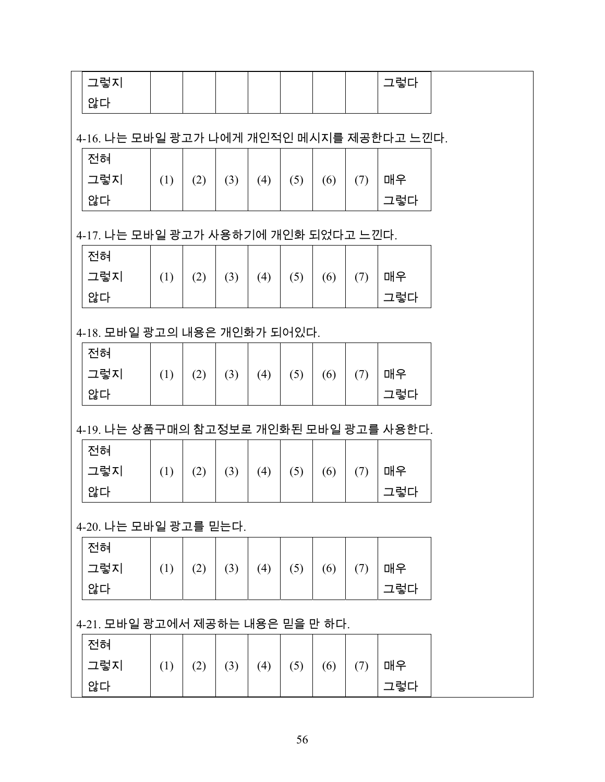| 그렇지                                       |                                      |     |     |     |     |     |     | 그렇다 |  |  |  |  |  |  |  |
|-------------------------------------------|--------------------------------------|-----|-----|-----|-----|-----|-----|-----|--|--|--|--|--|--|--|
| 않다                                        |                                      |     |     |     |     |     |     |     |  |  |  |  |  |  |  |
|                                           |                                      |     |     |     |     |     |     |     |  |  |  |  |  |  |  |
| 4-16. 나는 모바일 광고가 나에게 개인적인 메시지를 제공한다고 느낀다. |                                      |     |     |     |     |     |     |     |  |  |  |  |  |  |  |
| 전혀                                        |                                      |     |     |     |     |     |     |     |  |  |  |  |  |  |  |
| 그렇지                                       | (1)                                  | (2) | (3) | (4) | (5) | (6) | (7) | 매우  |  |  |  |  |  |  |  |
| 않다                                        |                                      |     |     |     |     |     |     | 그렇다 |  |  |  |  |  |  |  |
|                                           | 4-17. 나는 모바일 광고가 사용하기에 개인화 되었다고 느낀다. |     |     |     |     |     |     |     |  |  |  |  |  |  |  |
|                                           | 전혀                                   |     |     |     |     |     |     |     |  |  |  |  |  |  |  |
|                                           |                                      |     |     |     |     |     |     |     |  |  |  |  |  |  |  |
| 그렇지                                       | (1)                                  | (2) | (3) | (4) | (5) | (6) | (7) | 매우  |  |  |  |  |  |  |  |
| 않다                                        |                                      |     |     |     |     |     |     | 그렇다 |  |  |  |  |  |  |  |
| 4-18. 모바일 광고의 내용은 개인화가 되어있다.              |                                      |     |     |     |     |     |     |     |  |  |  |  |  |  |  |
| 전혀                                        |                                      |     |     |     |     |     |     |     |  |  |  |  |  |  |  |
| 그렇지                                       | (1)                                  | (2) | (3) | (4) | (5) | (6) | (7) | 매우  |  |  |  |  |  |  |  |
| 않다                                        |                                      |     |     |     |     |     |     | 그렇다 |  |  |  |  |  |  |  |
|                                           |                                      |     |     |     |     |     |     |     |  |  |  |  |  |  |  |
| 4-19. 나는 상품구매의 참고정보로 개인화된 모바일 광고를 사용한다.   |                                      |     |     |     |     |     |     |     |  |  |  |  |  |  |  |
| 전혀                                        |                                      |     |     |     |     |     |     |     |  |  |  |  |  |  |  |
| 그렇지                                       | (1)                                  | (2) | (3) | (4) | (5) | (6) | (7) | 매우  |  |  |  |  |  |  |  |
| 않다                                        |                                      |     |     |     |     |     |     | 그렇다 |  |  |  |  |  |  |  |
|                                           |                                      |     |     |     |     |     |     |     |  |  |  |  |  |  |  |
| 4-20. 나는 모바일 광고를 믿는다.                     |                                      |     |     |     |     |     |     |     |  |  |  |  |  |  |  |
| 전혀                                        |                                      |     |     |     |     |     |     |     |  |  |  |  |  |  |  |
| 그렇지                                       | (1)                                  | (2) | (3) | (4) | (5) | (6) | (7) | 매우  |  |  |  |  |  |  |  |
| 않다                                        |                                      |     |     |     |     |     |     | 그렇다 |  |  |  |  |  |  |  |
| 4-21. 모바일 광고에서 제공하는 내용은 믿을 만 하다.          |                                      |     |     |     |     |     |     |     |  |  |  |  |  |  |  |
|                                           |                                      |     |     |     |     |     |     |     |  |  |  |  |  |  |  |
| 전혀                                        |                                      |     |     |     |     |     |     |     |  |  |  |  |  |  |  |
| 그렇지                                       | (1)                                  | (2) | (3) | (4) | (5) | (6) | (7) | 매우  |  |  |  |  |  |  |  |
| 않다                                        |                                      |     |     |     |     |     |     | 그렇다 |  |  |  |  |  |  |  |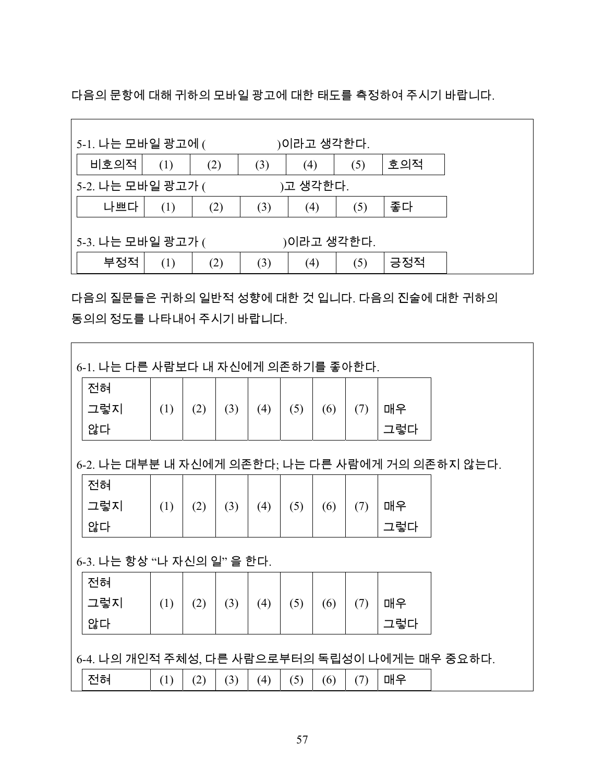다음의 문항에 대해 귀하의 모바일 광고에 대한 태도를 측정하여 주시기 바랍니다.

| 5-1. 나는 모바일 광고에 (<br>)이라고 생각한다. |                                        |  |  |  |  |  |  |  |  |  |  |  |
|---------------------------------|----------------------------------------|--|--|--|--|--|--|--|--|--|--|--|
| 비호의적                            | 호의적<br>(1)<br>(2)<br>(3)<br>(5)<br>(4) |  |  |  |  |  |  |  |  |  |  |  |
|                                 | 5-2. 나는 모바일 광고가 (<br>)고 생각한다.          |  |  |  |  |  |  |  |  |  |  |  |
| 나쁘다                             | 좋다<br>(3)<br>(2)<br>(5)<br>(1)<br>(4)  |  |  |  |  |  |  |  |  |  |  |  |
| 5-3. 나는 모바일 광고가 (<br>)이라고 생각한다. |                                        |  |  |  |  |  |  |  |  |  |  |  |
| 부정적                             | 긍정적<br>(3)<br>(1)<br>(5)<br>(2)<br>(4) |  |  |  |  |  |  |  |  |  |  |  |

다음의 질문들은 귀하의 일반적 성향에 대한 것 입니다. 다음의 진술에 대한 귀하의 동의의 정도를 나타내어 주시기 바랍니다.

| 6-1. 나는 다른 사람보다 내 자신에게 의존하기를 좋아한다.               |     |     |     |     |     |     |     |     |  |  |  |  |  |
|--------------------------------------------------|-----|-----|-----|-----|-----|-----|-----|-----|--|--|--|--|--|
| 전혀                                               |     |     |     |     |     |     |     |     |  |  |  |  |  |
| 그렇지                                              | (1) | (2) | (3) | (4) | (5) | (6) | (7) | 매우  |  |  |  |  |  |
| 않다                                               |     |     |     |     |     |     |     | 그렇다 |  |  |  |  |  |
| 6-2. 나는 대부분 내 자신에게 의존한다; 나는 다른 사람에게 거의 의존하지 않는다. |     |     |     |     |     |     |     |     |  |  |  |  |  |
| 전혀                                               |     |     |     |     |     |     |     |     |  |  |  |  |  |
| 그렇지                                              | (1) | (2) | (3) | (4) | (5) | (6) | (7) | 매우  |  |  |  |  |  |
| 않다                                               |     |     |     |     |     |     |     | 그렇다 |  |  |  |  |  |
| 6-3. 나는 항상 "나 자신의 일" 을 한다.                       |     |     |     |     |     |     |     |     |  |  |  |  |  |
| 전혀                                               |     |     |     |     |     |     |     |     |  |  |  |  |  |
| 그렇지                                              | (1) | (2) | (3) | (4) | (5) | (6) | (7) | 매우  |  |  |  |  |  |
| 않다<br>그렇다                                        |     |     |     |     |     |     |     |     |  |  |  |  |  |
| 6-4. 나의 개인적 주체성, 다른 사람으로부터의 독립성이 나에게는 매우 중요하다.   |     |     |     |     |     |     |     |     |  |  |  |  |  |
| 전혀                                               | (1) | (2) | (3) | (4) | (5) | (6) | (7) | 매우  |  |  |  |  |  |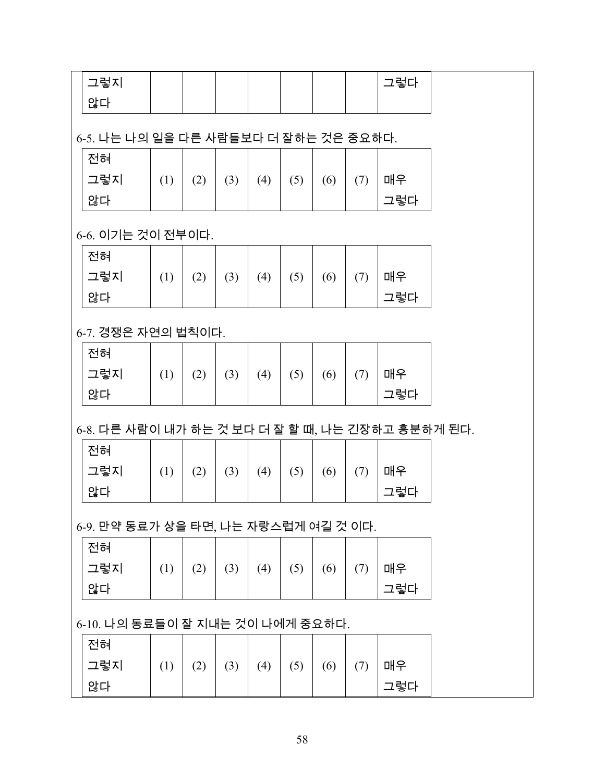| 그렇지                                              |     |     |     |     |     |     |     | 그렇다 |  |  |  |  |  |  |
|--------------------------------------------------|-----|-----|-----|-----|-----|-----|-----|-----|--|--|--|--|--|--|
| 않다                                               |     |     |     |     |     |     |     |     |  |  |  |  |  |  |
|                                                  |     |     |     |     |     |     |     |     |  |  |  |  |  |  |
| 6-5. 나는 나의 일을 다른 사람들보다 더 잘하는 것은 중요하다.            |     |     |     |     |     |     |     |     |  |  |  |  |  |  |
| 전혀                                               |     |     |     |     |     |     |     |     |  |  |  |  |  |  |
| 그렇지                                              | (1) | (2) | (3) | (4) | (5) | (6) | (7) | 매우  |  |  |  |  |  |  |
| 않다                                               |     |     |     |     |     |     |     | 그렇다 |  |  |  |  |  |  |
| 6-6. 이기는 것이 전부이다.                                |     |     |     |     |     |     |     |     |  |  |  |  |  |  |
| 전혀                                               |     |     |     |     |     |     |     |     |  |  |  |  |  |  |
| 그렇지                                              | (1) | (2) | (3) | (4) | (5) | (6) | (7) | 매우  |  |  |  |  |  |  |
| 않다                                               |     |     |     |     |     |     |     | 그렇다 |  |  |  |  |  |  |
|                                                  |     |     |     |     |     |     |     |     |  |  |  |  |  |  |
| 6-7. 경쟁은 자연의 법칙이다.                               |     |     |     |     |     |     |     |     |  |  |  |  |  |  |
| 전혀                                               |     |     |     |     |     |     |     |     |  |  |  |  |  |  |
| 그렇지                                              | (1) | (2) | (3) | (4) | (5) | (6) | (7) | 매우  |  |  |  |  |  |  |
| 않다                                               |     |     |     |     |     |     |     | 그렇다 |  |  |  |  |  |  |
| 6-8. 다른 사람이 내가 하는 것 보다 더 잘 할 때, 나는 긴장하고 흥분하게 된다. |     |     |     |     |     |     |     |     |  |  |  |  |  |  |
| 전혀                                               |     |     |     |     |     |     |     |     |  |  |  |  |  |  |
| 그렇지                                              | (1) | (2) | (3) | (4) | (5) | (6) | (7) | 매우  |  |  |  |  |  |  |
| 않다                                               |     |     |     |     |     |     |     | 그렇다 |  |  |  |  |  |  |
|                                                  |     |     |     |     |     |     |     |     |  |  |  |  |  |  |
| 6-9. 만약 동료가 상을 타면, 나는 자랑스럽게 여길 것 이다.             |     |     |     |     |     |     |     |     |  |  |  |  |  |  |
| 전혀                                               |     |     |     |     |     |     |     |     |  |  |  |  |  |  |
| 그렇지                                              | (1) | (2) | (3) | (4) | (5) | (6) | (7) | 매우  |  |  |  |  |  |  |
| 않다                                               |     |     |     |     |     |     |     | 그렇다 |  |  |  |  |  |  |
| 6-10. 나의 동료들이 잘 지내는 것이 나에게 중요하다.                 |     |     |     |     |     |     |     |     |  |  |  |  |  |  |
| 전혀                                               |     |     |     |     |     |     |     |     |  |  |  |  |  |  |
| 그렇지                                              | (1) | (2) | (3) | (4) | (5) | (6) | (7) | 매우  |  |  |  |  |  |  |
| 않다                                               |     |     |     |     |     |     |     | 그렇다 |  |  |  |  |  |  |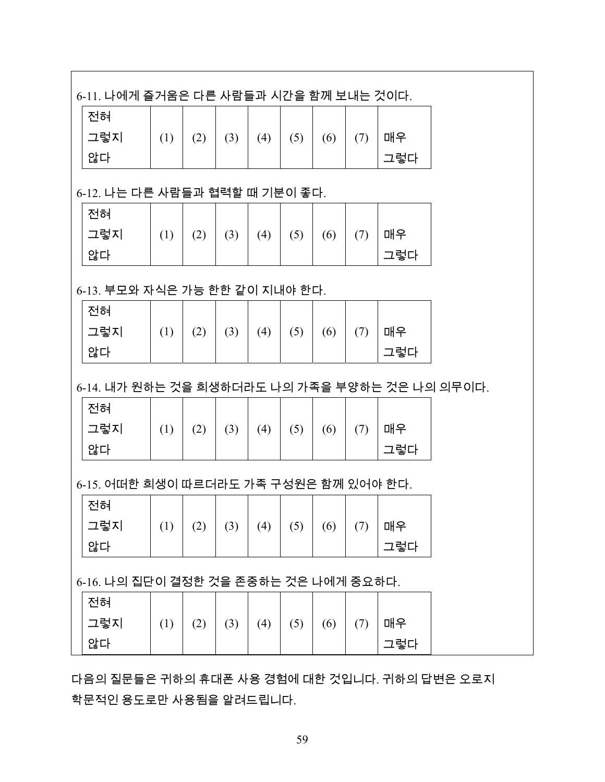| 6-11. 나에게 즐거움은 다른 사람들과 시간을 함께 보내는 것이다.         |     |     |     |     |     |     |     |     |  |
|------------------------------------------------|-----|-----|-----|-----|-----|-----|-----|-----|--|
| 전혀                                             |     |     |     |     |     |     |     |     |  |
| 그렇지                                            | (1) | (2) | (3) | (4) | (5) | (6) | (7) | 매우  |  |
| 않다                                             |     |     |     |     |     |     |     | 그렇다 |  |
|                                                |     |     |     |     |     |     |     |     |  |
| 6-12. 나는 다른 사람들과 협력할 때 기분이 좋다.                 |     |     |     |     |     |     |     |     |  |
| 전혀                                             |     |     |     |     |     |     |     |     |  |
| 그렇지                                            | (1) | (2) | (3) | (4) | (5) | (6) | (7) | 매우  |  |
| 않다                                             |     |     |     |     |     |     |     | 그렇다 |  |
|                                                |     |     |     |     |     |     |     |     |  |
| 6-13. 부모와 자식은 가능 한한 같이 지내야 한다.                 |     |     |     |     |     |     |     |     |  |
| 전혀                                             |     |     |     |     |     |     |     |     |  |
| 그렇지                                            | (1) | (2) | (3) | (4) | (5) | (6) | (7) | 매우  |  |
| 않다                                             |     |     |     |     |     |     |     | 그렇다 |  |
| 6-14. 내가 원하는 것을 희생하더라도 나의 가족을 부양하는 것은 나의 의무이다. |     |     |     |     |     |     |     |     |  |
| 전혀                                             |     |     |     |     |     |     |     |     |  |
| 그렇지                                            | (1) | (2) | (3) | (4) | (5) | (6) | (7) | 매우  |  |
| 않다                                             |     |     |     |     |     |     |     | 그렇다 |  |
|                                                |     |     |     |     |     |     |     |     |  |
| 6-15. 어떠한 희생이 따르더라도 가족 구성원은 함께 있어야 한다.         |     |     |     |     |     |     |     |     |  |
| 전혀                                             |     |     |     |     |     |     |     |     |  |
|                                                |     |     |     |     |     |     |     |     |  |
| 그렇지                                            | (1) | (2) | (3) | (4) | (5) | (6) | (7) | 매우  |  |
| 않다                                             |     |     |     |     |     |     |     | 그렇다 |  |
|                                                |     |     |     |     |     |     |     |     |  |
| 전혀                                             |     |     |     |     |     |     |     |     |  |
| 6-16. 나의 집단이 결정한 것을 존중하는 것은 나에게 중요하다.<br>그렇지   | (1) | (2) | (3) | (4) | (5) | (6) | (7) | 매우  |  |

다음의 질문들은 귀하의 휴대폰 사용 경험에 대한 것입니다. 귀하의 답변은 오로지 학문적인 용도로만 사용됨을 알려드립니다.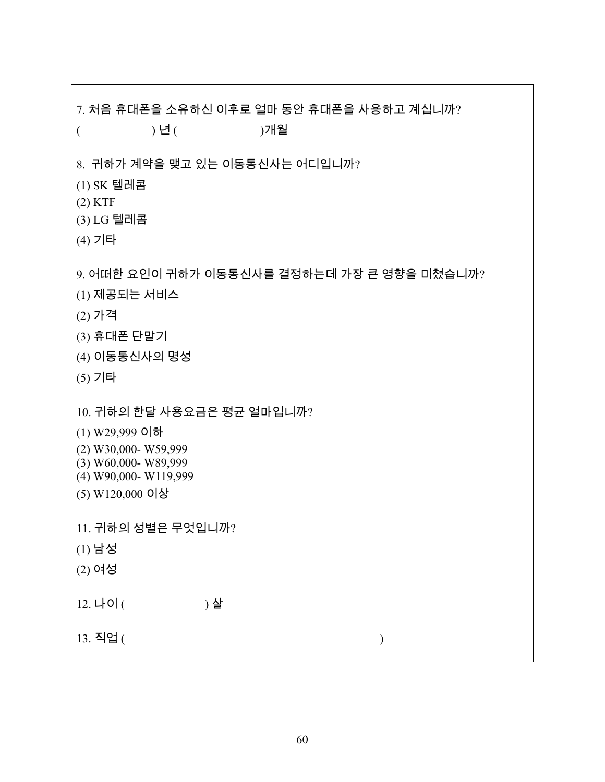7. 처음 휴대폰을 소유하신 이후로 얼마 동안 휴대폰을 사용하고 계십니까? ( ) 년 ( )개월 8. 귀하가 계약을 맺고 있는 이동통신사는 어디입니까? (1) SK 텔레콤 (2) KTF (3) LG 텔레콤 (4) 기타 9. 어떠한 요인이 귀하가 이동통신사를 결정하는데 가장 큰 영향을 미쳤습니까? (1) 제공되는 서비스 (2) 가격 (3) 휴대폰 단말기 (4) 이동통신사의 명성 (5) 기타 10. 귀하의 한달 사용요금은 평균 얼마입니까? (1) W29,999 이하 (2) W30,000- W59,999 (3) W60,000- W89,999 (4) W90,000- W119,999 (5) W120,000 이상 11. 귀하의 성별은 무엇입니까? (1) 남성 (2) 여성 12. 나이 ( ) 살 13. 직업 ( )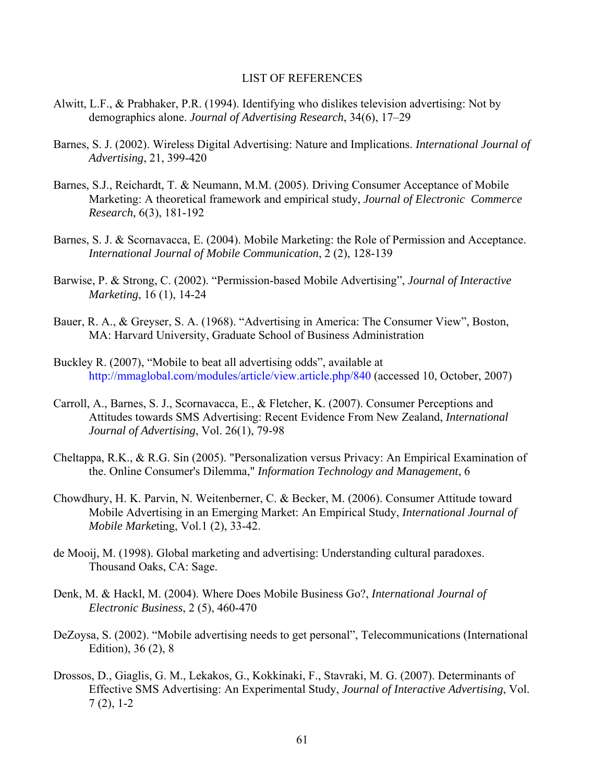#### LIST OF REFERENCES

- <span id="page-60-1"></span><span id="page-60-0"></span>Alwitt, L.F., & Prabhaker, P.R. (1994). Identifying who dislikes television advertising: Not by demographics alone. *Journal of Advertising Research*, 34(6), 17–29
- Barnes, S. J. (2002). Wireless Digital Advertising: Nature and Implications. *International Journal of Advertising*, 21, 399-420
- Barnes, S.J., Reichardt, T. & Neumann, M.M. (2005). Driving Consumer Acceptance of Mobile Marketing: A theoretical framework and empirical study, *Journal of Electronic Commerce Research,* 6(3), 181-192
- Barnes, S. J. & Scornavacca, E. (2004). Mobile Marketing: the Role of Permission and Acceptance. *International Journal of Mobile Communication*, 2 (2), 128-139
- Barwise, P. & Strong, C. (2002). "Permission-based Mobile Advertising", *Journal of Interactive Marketing*, 16 (1), 14-24
- Bauer, R. A., & Greyser, S. A. (1968). "Advertising in America: The Consumer View", Boston, MA: Harvard University, Graduate School of Business Administration
- Buckley R. (2007), "Mobile to beat all advertising odds", available at <http://mmaglobal.com/modules/article/view.article.php/840>(accessed 10, October, 2007)
- Carroll, A., Barnes, S. J., Scornavacca, E., & Fletcher, K. (2007). Consumer Perceptions and Attitudes towards SMS Advertising: Recent Evidence From New Zealand, *International Journal of Advertising*, Vol. 26(1), 79-98
- Cheltappa, R.K., & R.G. Sin (2005). "Personalization versus Privacy: An Empirical Examination of the. Online Consumer's Dilemma," *Information Technology and Management*, 6
- Chowdhury, H. K. Parvin, N. Weitenberner, C. & Becker, M. (2006). Consumer Attitude toward Mobile Advertising in an Emerging Market: An Empirical Study, *International Journal of Mobile Marke*ting, Vol.1 (2), 33-42.
- de Mooij, M. (1998). Global marketing and advertising: Understanding cultural paradoxes. Thousand Oaks, CA: Sage.
- Denk, M. & Hackl, M. (2004). Where Does Mobile Business Go?, *International Journal of Electronic Business*, 2 (5), 460-470
- DeZoysa, S. (2002). "Mobile advertising needs to get personal", Telecommunications (International Edition), 36 (2), 8
- Drossos, D., Giaglis, G. M., Lekakos, G., Kokkinaki, F., Stavraki, M. G. (2007). Determinants of Effective SMS Advertising: An Experimental Study, *Journal of Interactive Advertising*, Vol. 7 (2), 1-2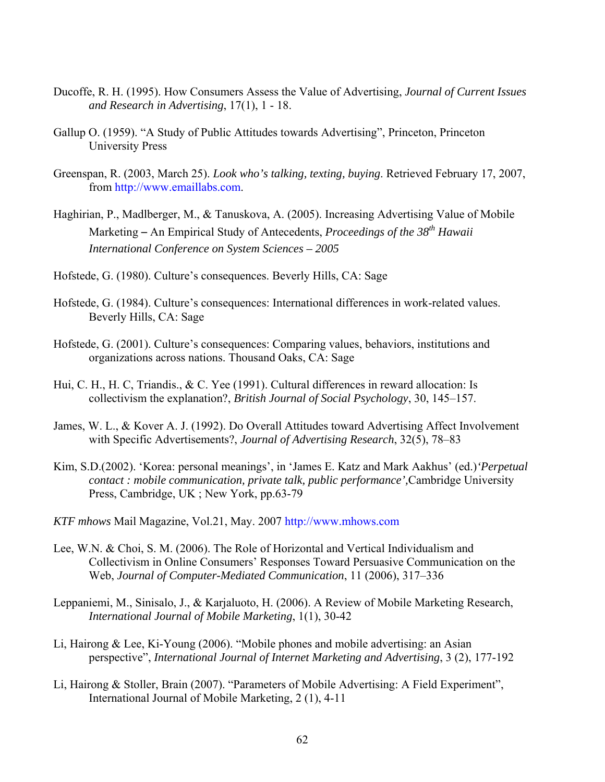- Ducoffe, R. H. (1995). How Consumers Assess the Value of Advertising, *Journal of Current Issues and Research in Advertising*, 17(1), 1 - 18.
- Gallup O. (1959). "A Study of Public Attitudes towards Advertising", Princeton, Princeton University Press
- Greenspan, R. (2003, March 25). *Look who's talking, texting, buying*. Retrieved February 17, 2007, from [http://www.emaillabs.com.](http://www.emaillabs.com/)
- Haghirian, P., Madlberger, M., & Tanuskova, A. (2005). Increasing Advertising Value of Mobile Marketing – An Empirical Study of Antecedents, *Proceedings of the 38th Hawaii International Conference on System Sciences – 2005*
- Hofstede, G. (1980). Culture's consequences. Beverly Hills, CA: Sage
- Hofstede, G. (1984). Culture's consequences: International differences in work-related values. Beverly Hills, CA: Sage
- Hofstede, G. (2001). Culture's consequences: Comparing values, behaviors, institutions and organizations across nations. Thousand Oaks, CA: Sage
- Hui, C. H., H. C, Triandis., & C. Yee (1991). Cultural differences in reward allocation: Is collectivism the explanation?, *British Journal of Social Psychology*, 30, 145–157.
- James, W. L., & Kover A. J. (1992). Do Overall Attitudes toward Advertising Affect Involvement with Specific Advertisements?, *Journal of Advertising Research*, 32(5), 78–83
- Kim, S.D.(2002). 'Korea: personal meanings', in 'James E. Katz and Mark Aakhus' (ed.)*'Perpetual contact : mobile communication, private talk, public performance',*Cambridge University Press, Cambridge, UK ; New York, pp.63-79
- *KTF mhows* Mail Magazine, Vol.21, May. 2007 [http://www.mhows.com](http://www.mhows.com/)
- Lee, W.N. & Choi, S. M. (2006). The Role of Horizontal and Vertical Individualism and Collectivism in Online Consumers' Responses Toward Persuasive Communication on the Web, *Journal of Computer-Mediated Communication*, 11 (2006), 317–336
- Leppaniemi, M., Sinisalo, J., & Karjaluoto, H. (2006). A Review of Mobile Marketing Research, *International Journal of Mobile Marketing*, 1(1), 30-42
- Li, Hairong & Lee, Ki-Young (2006). "Mobile phones and mobile advertising: an Asian perspective", *International Journal of Internet Marketing and Advertising*, 3 (2), 177-192
- Li, Hairong & Stoller, Brain (2007). "Parameters of Mobile Advertising: A Field Experiment", International Journal of Mobile Marketing, 2 (1), 4-11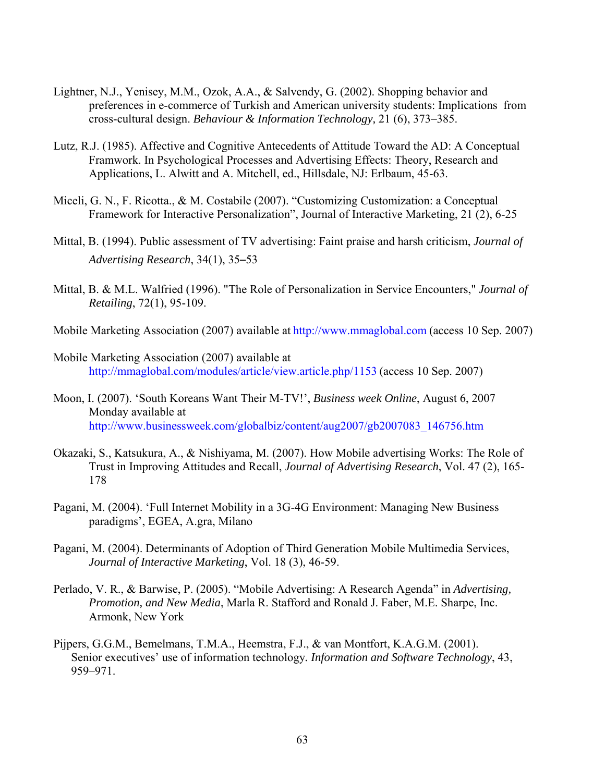- Lightner, N.J., Yenisey, M.M., Ozok, A.A., & Salvendy, G. (2002). Shopping behavior and preferences in e-commerce of Turkish and American university students: Implications from cross-cultural design. *Behaviour & Information Technology,* 21 (6), 373–385.
- Lutz, R.J. (1985). Affective and Cognitive Antecedents of Attitude Toward the AD: A Conceptual Framwork. In Psychological Processes and Advertising Effects: Theory, Research and Applications, L. Alwitt and A. Mitchell, ed., Hillsdale, NJ: Erlbaum, 45-63.
- Miceli, G. N., F. Ricotta., & M. Costabile (2007). "Customizing Customization: a Conceptual Framework for Interactive Personalization", Journal of Interactive Marketing, 21 (2), 6-25
- Mittal, B. (1994). Public assessment of TV advertising: Faint praise and harsh criticism, *Journal of Advertising Research*, 34(1), 35–53
- Mittal, B. & M.L. Walfried (1996). "The Role of Personalization in Service Encounters," *Journal of Retailing*, 72(1), 95-109.
- Mobile Marketing Association (2007) available at [http://www.mmaglobal.com](http://www.mmaglobal.com/) (access 10 Sep. 2007)
- Mobile Marketing Association (2007) available at <http://mmaglobal.com/modules/article/view.article.php/1153> (access 10 Sep. 2007)
- Moon, I. (2007). 'South Koreans Want Their M-TV!', *Business week Online*, August 6, 2007 Monday available at [http://www.businessweek.com/globalbiz/content/aug2007/gb2007083\\_146756.htm](http://www.businessweek.com/globalbiz/content/aug2007/gb2007083_146756.htm)
- Okazaki, S., Katsukura, A., & Nishiyama, M. (2007). How Mobile advertising Works: The Role of Trust in Improving Attitudes and Recall, *Journal of Advertising Research*, Vol. 47 (2), 165- 178
- Pagani, M. (2004). 'Full Internet Mobility in a 3G-4G Environment: Managing New Business paradigms', EGEA, A.gra, Milano
- Pagani, M. (2004). Determinants of Adoption of Third Generation Mobile Multimedia Services, *Journal of Interactive Marketing*, Vol. 18 (3), 46-59.
- Perlado, V. R., & Barwise, P. (2005). "Mobile Advertising: A Research Agenda" in *Advertising, Promotion, and New Media*, Marla R. Stafford and Ronald J. Faber, M.E. Sharpe, Inc. Armonk, New York
- Pijpers, G.G.M., Bemelmans, T.M.A., Heemstra, F.J., & van Montfort, K.A.G.M. (2001). Senior executives' use of information technology*. Information and Software Technology*, 43, 959–971.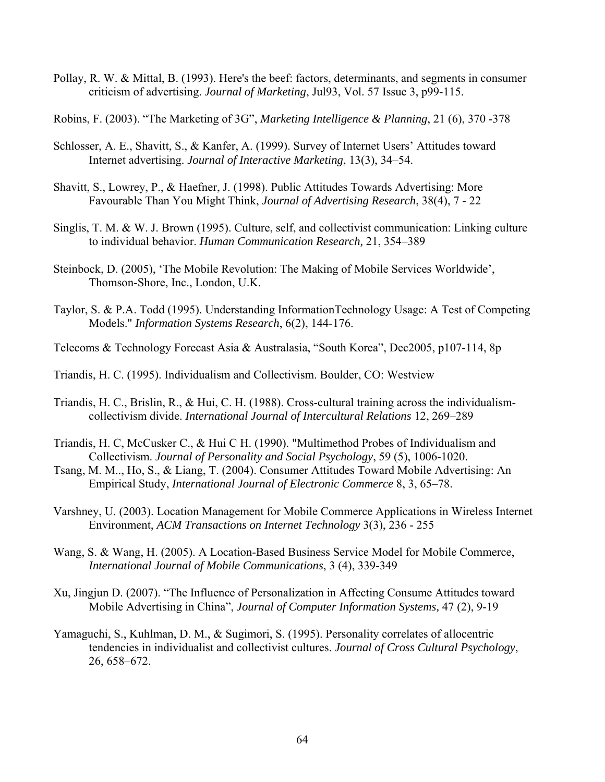- Pollay, R. W. & Mittal, B. (1993). Here's the beef: factors, determinants, and segments in consumer criticism of advertising. *Journal of Marketing*, Jul93, Vol. 57 Issue 3, p99-115.
- Robins, F. (2003). "The Marketing of 3G", *Marketing Intelligence & Planning*, 21 (6), 370 -378
- Schlosser, A. E., Shavitt, S., & Kanfer, A. (1999). Survey of Internet Users' Attitudes toward Internet advertising. *Journal of Interactive Marketing*, 13(3), 34–54.
- Shavitt, S., Lowrey, P., & Haefner, J. (1998). Public Attitudes Towards Advertising: More Favourable Than You Might Think, *Journal of Advertising Research*, 38(4), 7 - 22
- Singlis, T. M. & W. J. Brown (1995). Culture, self, and collectivist communication: Linking culture to individual behavior. *Human Communication Research,* 21, 354–389
- Steinbock, D. (2005), 'The Mobile Revolution: The Making of Mobile Services Worldwide', Thomson-Shore, Inc., London, U.K.
- Taylor, S. & P.A. Todd (1995). Understanding InformationTechnology Usage: A Test of Competing Models." *Information Systems Research*, 6(2), 144-176.
- Telecoms & Technology Forecast Asia & Australasia, "South Korea", Dec2005, p107-114, 8p
- Triandis, H. C. (1995). Individualism and Collectivism. Boulder, CO: Westview
- Triandis, H. C., Brislin, R., & Hui, C. H. (1988). Cross-cultural training across the individualismcollectivism divide. *International Journal of Intercultural Relations* 12, 269–289
- Triandis, H. C, McCusker C., & Hui C H. (1990). "Multimethod Probes of Individualism and Collectivism. *Journal of Personality and Social Psychology*, 59 (5), 1006-1020.
- Tsang, M. M.., Ho, S., & Liang, T. (2004). Consumer Attitudes Toward Mobile Advertising: An Empirical Study, *International Journal of Electronic Commerce* 8, 3, 65–78.
- Varshney, U. (2003). Location Management for Mobile Commerce Applications in Wireless Internet Environment, *ACM Transactions on Internet Technology* 3(3), 236 - 255
- Wang, S. & Wang, H. (2005). A Location-Based Business Service Model for Mobile Commerce, *International Journal of Mobile Communications*, 3 (4), 339-349
- Xu, Jingjun D. (2007). "The Influence of Personalization in Affecting Consume Attitudes toward Mobile Advertising in China", *Journal of Computer Information Systems,* 47 (2), 9-19
- Yamaguchi, S., Kuhlman, D. M., & Sugimori, S. (1995). Personality correlates of allocentric tendencies in individualist and collectivist cultures. *Journal of Cross Cultural Psychology*, 26, 658–672.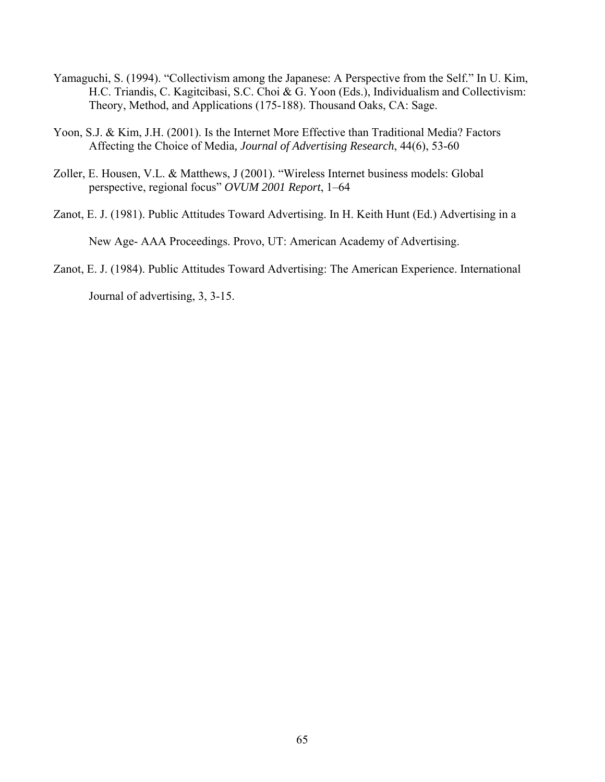- Yamaguchi, S. (1994). "Collectivism among the Japanese: A Perspective from the Self." In U. Kim, H.C. Triandis, C. Kagitcibasi, S.C. Choi & G. Yoon (Eds.), Individualism and Collectivism: Theory, Method, and Applications (175-188). Thousand Oaks, CA: Sage.
- Yoon, S.J. & Kim, J.H. (2001). Is the Internet More Effective than Traditional Media? Factors Affecting the Choice of Media*, Journal of Advertising Research*, 44(6), 53-60
- Zoller, E. Housen, V.L. & Matthews, J (2001). "Wireless Internet business models: Global perspective, regional focus" *OVUM 2001 Report*, 1–64
- Zanot, E. J. (1981). Public Attitudes Toward Advertising. In H. Keith Hunt (Ed.) Advertising in a New Age- AAA Proceedings. Provo, UT: American Academy of Advertising.
- Zanot, E. J. (1984). Public Attitudes Toward Advertising: The American Experience. International

Journal of advertising, 3, 3-15.